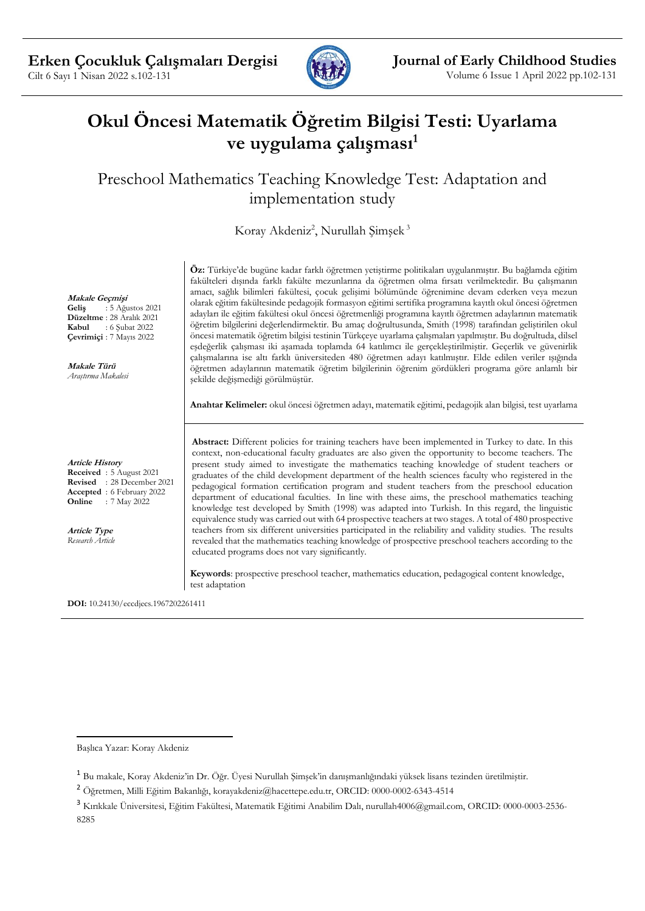

# **Okul Öncesi Matematik Öğretim Bilgisi Testi: Uyarlama ve uygulama çalışması<sup>1</sup>**

Preschool Mathematics Teaching Knowledge Test: Adaptation and implementation study

Koray Akdeniz<sup>2</sup>, Nurullah Şimşek<sup>3</sup>

**Makale Geçmişi**

**Geliş** : 5 Ağustos 2021 **Düzeltme** : 28 Aralık 2021 **Kabul** : 6 Şubat 2022 **Çevrimiçi** : 7 Mayıs 2022

**Makale Türü** *Araştırma Makalesi*

**Article History Received** : 5 August 2021 **Revised** : 28 December 2021 **Accepted** : 6 February 2022 **Online** : 7 May 2022

**Article Type** *Research Article* **Öz:** Türkiye'de bugüne kadar farklı öğretmen yetiştirme politikaları uygulanmıştır. Bu bağlamda eğitim fakülteleri dışında farklı fakülte mezunlarına da öğretmen olma fırsatı verilmektedir. Bu çalışmanın amacı, sağlık bilimleri fakültesi, çocuk gelişimi bölümünde öğrenimine devam ederken veya mezun olarak eğitim fakültesinde pedagojik formasyon eğitimi sertifika programına kayıtlı okul öncesi öğretmen adayları ile eğitim fakültesi okul öncesi öğretmenliği programına kayıtlı öğretmen adaylarının matematik öğretim bilgilerini değerlendirmektir. Bu amaç doğrultusunda, Smith (1998) tarafından geliştirilen okul öncesi matematik öğretim bilgisi testinin Türkçeye uyarlama çalışmaları yapılmıştır. Bu doğrultuda, dilsel eşdeğerlik çalışması iki aşamada toplamda 64 katılımcı ile gerçekleştirilmiştir. Geçerlik ve güvenirlik çalışmalarına ise altı farklı üniversiteden 480 öğretmen adayı katılmıştır. Elde edilen veriler ışığında öğretmen adaylarının matematik öğretim bilgilerinin öğrenim gördükleri programa göre anlamlı bir şekilde değişmediği görülmüştür.

**Anahtar Kelimeler:** okul öncesi öğretmen adayı, matematik eğitimi, pedagojik alan bilgisi, test uyarlama

• **Abstract:** Different policies for training teachers have been implemented in Turkey to date. In this context, non-educational faculty graduates are also given the opportunity to become teachers. The present study aimed to investigate the mathematics teaching knowledge of student teachers or graduates of the child development department of the health sciences faculty who registered in the pedagogical formation certification program and student teachers from the preschool education department of educational faculties. In line with these aims, the preschool mathematics teaching knowledge test developed by Smith (1998) was adapted into Turkish. In this regard, the linguistic equivalence study was carried out with 64 prospective teachers at two stages. A total of 480 prospective teachers from six different universities participated in the reliability and validity studies. The results revealed that the mathematics teaching knowledge of prospective preschool teachers according to the educated programs does not vary significantly.

**Keywords**: prospective preschool teacher, mathematics education, pedagogical content knowledge, test adaptation

**DOI:** 10.24130/eccdjecs.1967202261411

Başlıca Yazar: Koray Akdeniz

<sup>1</sup> Bu makale, Koray Akdeniz'in Dr. Öğr. Üyesi Nurullah Şimşek'in danışmanlığındaki yüksek lisans tezinden üretilmiştir.

<sup>2</sup> Öğretmen, Milli Eğitim Bakanlığı, korayakdeniz@hacettepe.edu.tr, ORCID: 0000-0002-6343-4514

<sup>3</sup> Kırıkkale Üniversitesi, Eğitim Fakültesi, Matematik Eğitimi Anabilim Dalı, nurullah4006@gmail.com, ORCID: 0000-0003-2536- 8285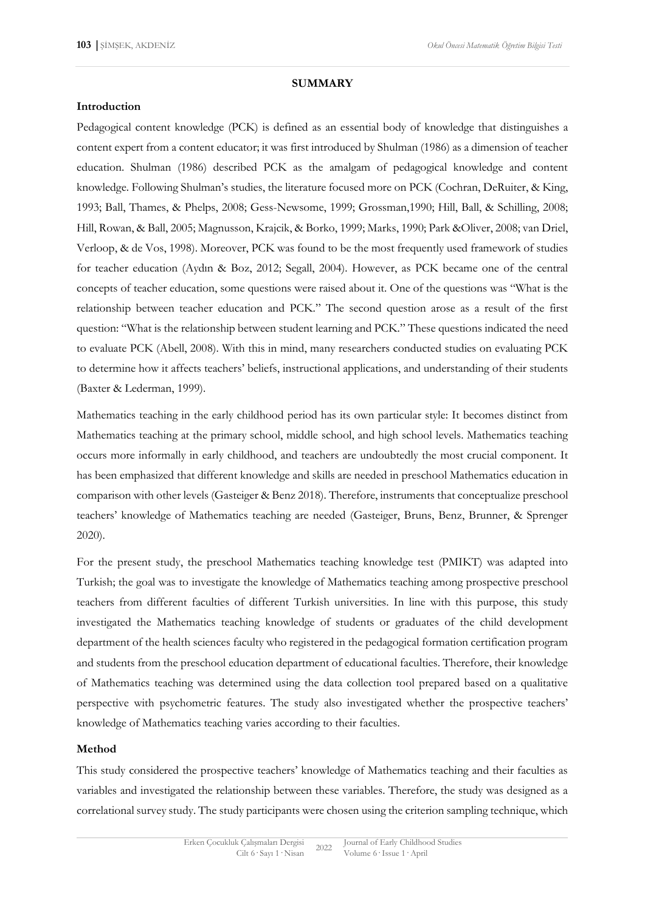#### **SUMMARY**

#### **Introduction**

Pedagogical content knowledge (PCK) is defined as an essential body of knowledge that distinguishes a content expert from a content educator; it was first introduced by Shulman (1986) as a dimension of teacher education. Shulman (1986) described PCK as the amalgam of pedagogical knowledge and content knowledge. Following Shulman's studies, the literature focused more on PCK (Cochran, DeRuiter, & King, 1993; Ball, Thames, & Phelps, 2008; Gess-Newsome, 1999; Grossman,1990; Hill, Ball, & Schilling, 2008; Hill, Rowan, & Ball, 2005; Magnusson, Krajcik, & Borko, 1999; Marks, 1990; Park &Oliver, 2008; van Driel, Verloop, & de Vos, 1998). Moreover, PCK was found to be the most frequently used framework of studies for teacher education (Aydın & Boz, 2012; Segall, 2004). However, as PCK became one of the central concepts of teacher education, some questions were raised about it. One of the questions was "What is the relationship between teacher education and PCK." The second question arose as a result of the first question: "What is the relationship between student learning and PCK." These questions indicated the need to evaluate PCK (Abell, 2008). With this in mind, many researchers conducted studies on evaluating PCK to determine how it affects teachers' beliefs, instructional applications, and understanding of their students (Baxter & Lederman, 1999).

Mathematics teaching in the early childhood period has its own particular style: It becomes distinct from Mathematics teaching at the primary school, middle school, and high school levels. Mathematics teaching occurs more informally in early childhood, and teachers are undoubtedly the most crucial component. It has been emphasized that different knowledge and skills are needed in preschool Mathematics education in comparison with other levels (Gasteiger & Benz 2018). Therefore, instruments that conceptualize preschool teachers' knowledge of Mathematics teaching are needed (Gasteiger, Bruns, Benz, Brunner, & Sprenger 2020).

For the present study, the preschool Mathematics teaching knowledge test (PMIKT) was adapted into Turkish; the goal was to investigate the knowledge of Mathematics teaching among prospective preschool teachers from different faculties of different Turkish universities. In line with this purpose, this study investigated the Mathematics teaching knowledge of students or graduates of the child development department of the health sciences faculty who registered in the pedagogical formation certification program and students from the preschool education department of educational faculties. Therefore, their knowledge of Mathematics teaching was determined using the data collection tool prepared based on a qualitative perspective with psychometric features. The study also investigated whether the prospective teachers' knowledge of Mathematics teaching varies according to their faculties.

#### **Method**

This study considered the prospective teachers' knowledge of Mathematics teaching and their faculties as variables and investigated the relationship between these variables. Therefore, the study was designed as a correlational survey study. The study participants were chosen using the criterion sampling technique, which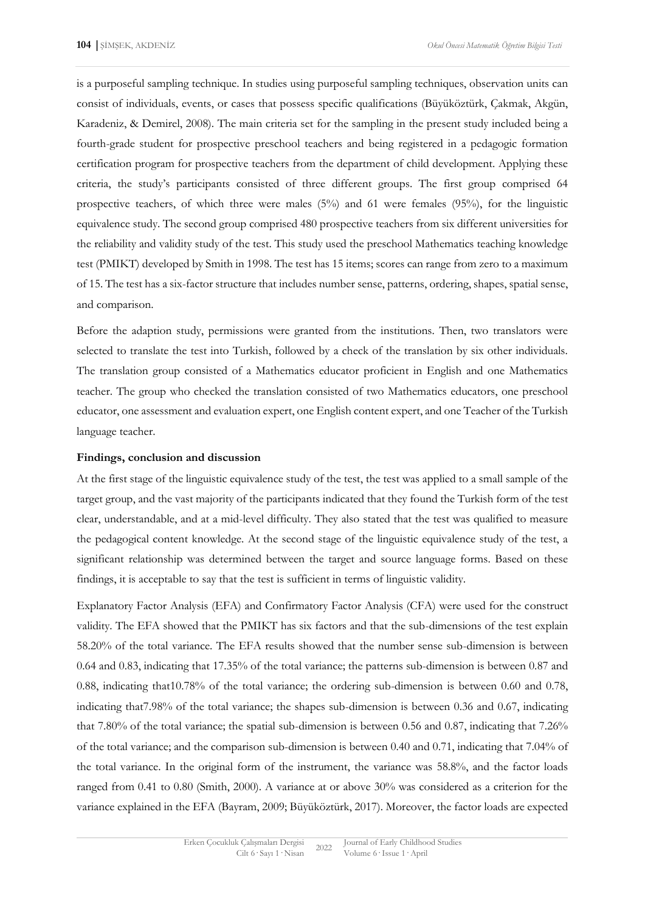is a purposeful sampling technique. In studies using purposeful sampling techniques, observation units can consist of individuals, events, or cases that possess specific qualifications (Büyüköztürk, Çakmak, Akgün, Karadeniz, & Demirel, 2008). The main criteria set for the sampling in the present study included being a fourth-grade student for prospective preschool teachers and being registered in a pedagogic formation certification program for prospective teachers from the department of child development. Applying these criteria, the study's participants consisted of three different groups. The first group comprised 64 prospective teachers, of which three were males (5%) and 61 were females (95%), for the linguistic equivalence study. The second group comprised 480 prospective teachers from six different universities for the reliability and validity study of the test. This study used the preschool Mathematics teaching knowledge test (PMIKT) developed by Smith in 1998. The test has 15 items; scores can range from zero to a maximum of 15. The test has a six-factor structure that includes number sense, patterns, ordering, shapes, spatial sense, and comparison.

Before the adaption study, permissions were granted from the institutions. Then, two translators were selected to translate the test into Turkish, followed by a check of the translation by six other individuals. The translation group consisted of a Mathematics educator proficient in English and one Mathematics teacher. The group who checked the translation consisted of two Mathematics educators, one preschool educator, one assessment and evaluation expert, one English content expert, and one Teacher of the Turkish language teacher.

#### **Findings, conclusion and discussion**

At the first stage of the linguistic equivalence study of the test, the test was applied to a small sample of the target group, and the vast majority of the participants indicated that they found the Turkish form of the test clear, understandable, and at a mid-level difficulty. They also stated that the test was qualified to measure the pedagogical content knowledge. At the second stage of the linguistic equivalence study of the test, a significant relationship was determined between the target and source language forms. Based on these findings, it is acceptable to say that the test is sufficient in terms of linguistic validity.

Explanatory Factor Analysis (EFA) and Confirmatory Factor Analysis (CFA) were used for the construct validity. The EFA showed that the PMIKT has six factors and that the sub-dimensions of the test explain 58.20% of the total variance. The EFA results showed that the number sense sub-dimension is between 0.64 and 0.83, indicating that 17.35% of the total variance; the patterns sub-dimension is between 0.87 and 0.88, indicating that10.78% of the total variance; the ordering sub-dimension is between 0.60 and 0.78, indicating that7.98% of the total variance; the shapes sub-dimension is between 0.36 and 0.67, indicating that 7.80% of the total variance; the spatial sub-dimension is between 0.56 and 0.87, indicating that 7.26% of the total variance; and the comparison sub-dimension is between 0.40 and 0.71, indicating that 7.04% of the total variance. In the original form of the instrument, the variance was 58.8%, and the factor loads ranged from 0.41 to 0.80 (Smith, 2000). A variance at or above 30% was considered as a criterion for the variance explained in the EFA (Bayram, 2009; Büyüköztürk, 2017). Moreover, the factor loads are expected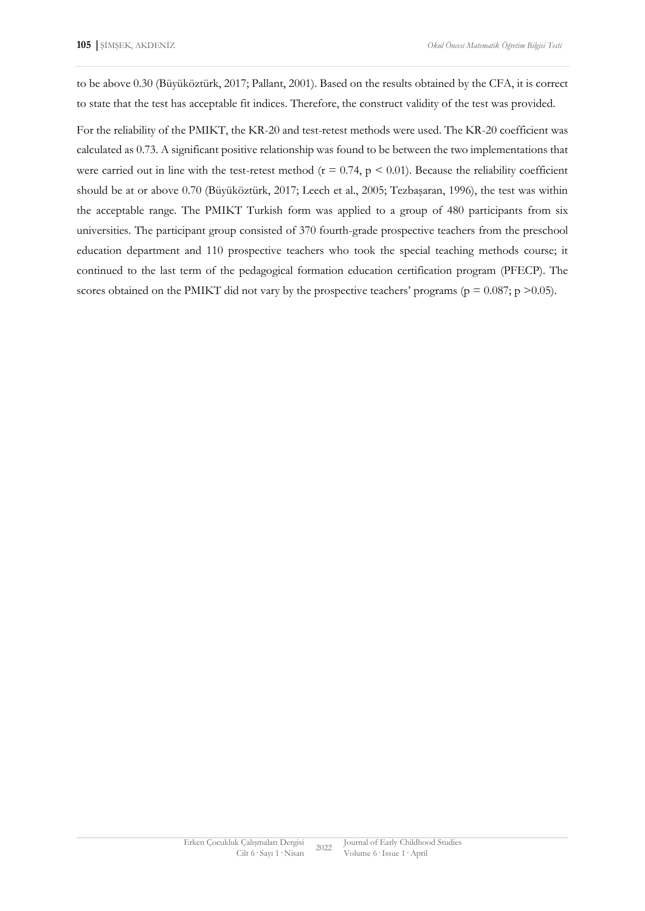to be above 0.30 (Büyüköztürk, 2017; Pallant, 2001). Based on the results obtained by the CFA, it is correct to state that the test has acceptable fit indices. Therefore, the construct validity of the test was provided.

For the reliability of the PMIKT, the KR-20 and test-retest methods were used. The KR-20 coefficient was calculated as 0.73. A significant positive relationship was found to be between the two implementations that were carried out in line with the test-retest method ( $r = 0.74$ ,  $p < 0.01$ ). Because the reliability coefficient should be at or above 0.70 (Büyüköztürk, 2017; Leech et al., 2005; Tezbaşaran, 1996), the test was within the acceptable range. The PMIKT Turkish form was applied to a group of 480 participants from six universities. The participant group consisted of 370 fourth-grade prospective teachers from the preschool education department and 110 prospective teachers who took the special teaching methods course; it continued to the last term of the pedagogical formation education certification program (PFECP). The scores obtained on the PMIKT did not vary by the prospective teachers' programs ( $p = 0.087$ ;  $p > 0.05$ ).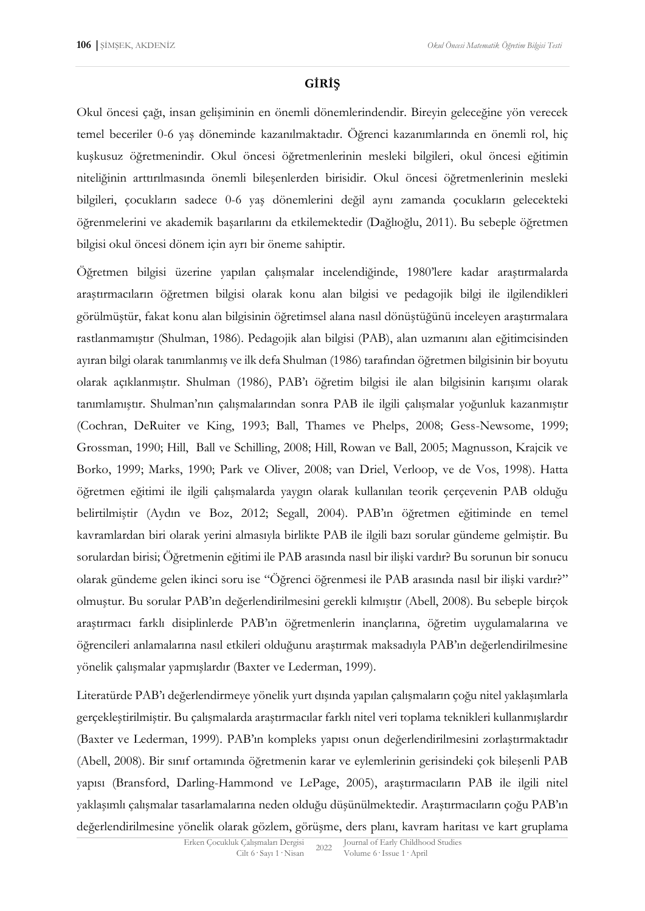### **GİRİŞ**

Okul öncesi çağı, insan gelişiminin en önemli dönemlerindendir. Bireyin geleceğine yön verecek temel beceriler 0-6 yaş döneminde kazanılmaktadır. Öğrenci kazanımlarında en önemli rol, hiç kuşkusuz öğretmenindir. Okul öncesi öğretmenlerinin mesleki bilgileri, okul öncesi eğitimin niteliğinin arttırılmasında önemli bileşenlerden birisidir. Okul öncesi öğretmenlerinin mesleki bilgileri, çocukların sadece 0-6 yaş dönemlerini değil aynı zamanda çocukların gelecekteki öğrenmelerini ve akademik başarılarını da etkilemektedir (Dağlıoğlu, 2011). Bu sebeple öğretmen bilgisi okul öncesi dönem için ayrı bir öneme sahiptir.

Öğretmen bilgisi üzerine yapılan çalışmalar incelendiğinde, 1980'lere kadar araştırmalarda araştırmacıların öğretmen bilgisi olarak konu alan bilgisi ve pedagojik bilgi ile ilgilendikleri görülmüştür, fakat konu alan bilgisinin öğretimsel alana nasıl dönüştüğünü inceleyen araştırmalara rastlanmamıştır (Shulman, 1986). Pedagojik alan bilgisi (PAB), alan uzmanını alan eğitimcisinden ayıran bilgi olarak tanımlanmış ve ilk defa Shulman (1986) tarafından öğretmen bilgisinin bir boyutu olarak açıklanmıştır. Shulman (1986), PAB'ı öğretim bilgisi ile alan bilgisinin karışımı olarak tanımlamıştır. Shulman'nın çalışmalarından sonra PAB ile ilgili çalışmalar yoğunluk kazanmıştır (Cochran, DeRuiter ve King, 1993; Ball, Thames ve Phelps, 2008; Gess-Newsome, 1999; Grossman, 1990; Hill, Ball ve Schilling, 2008; Hill, Rowan ve Ball, 2005; Magnusson, Krajcik ve Borko, 1999; Marks, 1990; Park ve Oliver, 2008; van Driel, Verloop, ve de Vos, 1998). Hatta öğretmen eğitimi ile ilgili çalışmalarda yaygın olarak kullanılan teorik çerçevenin PAB olduğu belirtilmiştir (Aydın ve Boz, 2012; Segall, 2004). PAB'ın öğretmen eğitiminde en temel kavramlardan biri olarak yerini almasıyla birlikte PAB ile ilgili bazı sorular gündeme gelmiştir. Bu sorulardan birisi; Öğretmenin eğitimi ile PAB arasında nasıl bir ilişki vardır? Bu sorunun bir sonucu olarak gündeme gelen ikinci soru ise "Öğrenci öğrenmesi ile PAB arasında nasıl bir ilişki vardır?" olmuştur. Bu sorular PAB'ın değerlendirilmesini gerekli kılmıştır (Abell, 2008). Bu sebeple birçok araştırmacı farklı disiplinlerde PAB'ın öğretmenlerin inançlarına, öğretim uygulamalarına ve öğrencileri anlamalarına nasıl etkileri olduğunu araştırmak maksadıyla PAB'ın değerlendirilmesine yönelik çalışmalar yapmışlardır (Baxter ve Lederman, 1999).

Literatürde PAB'ı değerlendirmeye yönelik yurt dışında yapılan çalışmaların çoğu nitel yaklaşımlarla gerçekleştirilmiştir. Bu çalışmalarda araştırmacılar farklı nitel veri toplama teknikleri kullanmışlardır (Baxter ve Lederman, 1999). PAB'ın kompleks yapısı onun değerlendirilmesini zorlaştırmaktadır (Abell, 2008). Bir sınıf ortamında öğretmenin karar ve eylemlerinin gerisindeki çok bileşenli PAB yapısı (Bransford, Darling-Hammond ve LePage, 2005), araştırmacıların PAB ile ilgili nitel yaklaşımlı çalışmalar tasarlamalarına neden olduğu düşünülmektedir. Araştırmacıların çoğu PAB'ın değerlendirilmesine yönelik olarak gözlem, görüşme, ders planı, kavram haritası ve kart gruplama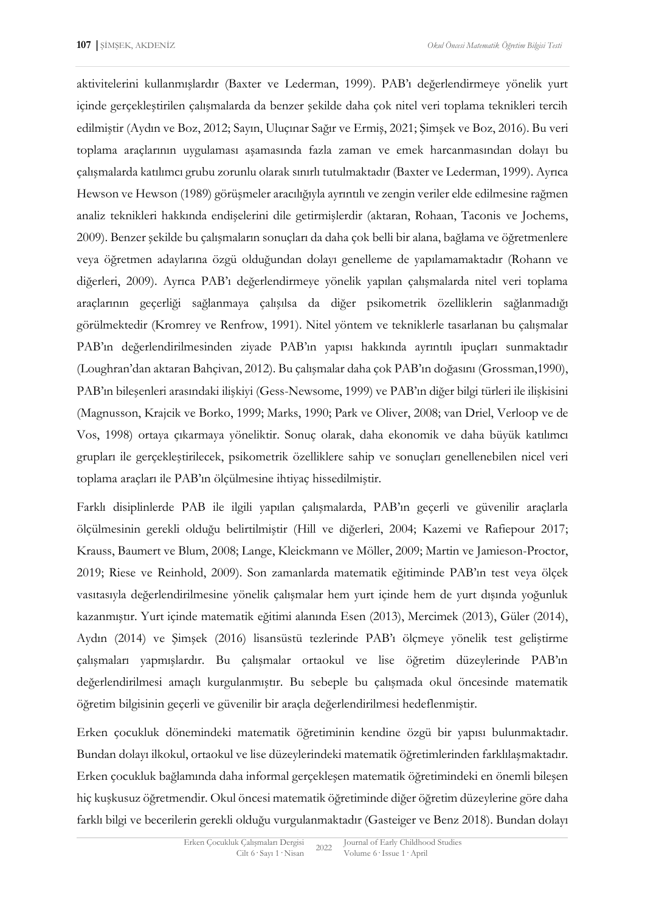aktivitelerini kullanmışlardır (Baxter ve Lederman, 1999). PAB'ı değerlendirmeye yönelik yurt içinde gerçekleştirilen çalışmalarda da benzer şekilde daha çok nitel veri toplama teknikleri tercih edilmiştir (Aydın ve Boz, 2012; Sayın, Uluçınar Sağır ve Ermiş, 2021; Şimşek ve Boz, 2016). Bu veri toplama araçlarının uygulaması aşamasında fazla zaman ve emek harcanmasından dolayı bu çalışmalarda katılımcı grubu zorunlu olarak sınırlı tutulmaktadır (Baxter ve Lederman, 1999). Ayrıca Hewson ve Hewson (1989) görüşmeler aracılığıyla ayrıntılı ve zengin veriler elde edilmesine rağmen analiz teknikleri hakkında endişelerini dile getirmişlerdir (aktaran, Rohaan, Taconis ve Jochems, 2009). Benzer şekilde bu çalışmaların sonuçları da daha çok belli bir alana, bağlama ve öğretmenlere veya öğretmen adaylarına özgü olduğundan dolayı genelleme de yapılamamaktadır (Rohann ve diğerleri, 2009). Ayrıca PAB'ı değerlendirmeye yönelik yapılan çalışmalarda nitel veri toplama araçlarının geçerliği sağlanmaya çalışılsa da diğer psikometrik özelliklerin sağlanmadığı görülmektedir (Kromrey ve Renfrow, 1991). Nitel yöntem ve tekniklerle tasarlanan bu çalışmalar PAB'ın değerlendirilmesinden ziyade PAB'ın yapısı hakkında ayrıntılı ipuçları sunmaktadır (Loughran'dan aktaran Bahçivan, 2012). Bu çalışmalar daha çok PAB'ın doğasını (Grossman,1990), PAB'ın bileşenleri arasındaki ilişkiyi (Gess-Newsome, 1999) ve PAB'ın diğer bilgi türleri ile ilişkisini (Magnusson, Krajcik ve Borko, 1999; Marks, 1990; Park ve Oliver, 2008; van Driel, Verloop ve de Vos, 1998) ortaya çıkarmaya yöneliktir. Sonuç olarak, daha ekonomik ve daha büyük katılımcı grupları ile gerçekleştirilecek, psikometrik özelliklere sahip ve sonuçları genellenebilen nicel veri toplama araçları ile PAB'ın ölçülmesine ihtiyaç hissedilmiştir.

Farklı disiplinlerde PAB ile ilgili yapılan çalışmalarda, PAB'ın geçerli ve güvenilir araçlarla ölçülmesinin gerekli olduğu belirtilmiştir (Hill ve diğerleri, 2004; Kazemi ve Rafiepour 2017; Krauss, Baumert ve Blum, 2008; Lange, Kleickmann ve Möller, 2009; Martin ve Jamieson-Proctor, 2019; Riese ve Reinhold, 2009). Son zamanlarda matematik eğitiminde PAB'ın test veya ölçek vasıtasıyla değerlendirilmesine yönelik çalışmalar hem yurt içinde hem de yurt dışında yoğunluk kazanmıştır. Yurt içinde matematik eğitimi alanında Esen (2013), Mercimek (2013), Güler (2014), Aydın (2014) ve Şimşek (2016) lisansüstü tezlerinde PAB'ı ölçmeye yönelik test geliştirme çalışmaları yapmışlardır. Bu çalışmalar ortaokul ve lise öğretim düzeylerinde PAB'ın değerlendirilmesi amaçlı kurgulanmıştır. Bu sebeple bu çalışmada okul öncesinde matematik öğretim bilgisinin geçerli ve güvenilir bir araçla değerlendirilmesi hedeflenmiştir.

Erken çocukluk dönemindeki matematik öğretiminin kendine özgü bir yapısı bulunmaktadır. Bundan dolayı ilkokul, ortaokul ve lise düzeylerindeki matematik öğretimlerinden farklılaşmaktadır. Erken çocukluk bağlamında daha informal gerçekleşen matematik öğretimindeki en önemli bileşen hiç kuşkusuz öğretmendir. Okul öncesi matematik öğretiminde diğer öğretim düzeylerine göre daha farklı bilgi ve becerilerin gerekli olduğu vurgulanmaktadır (Gasteiger ve Benz 2018). Bundan dolayı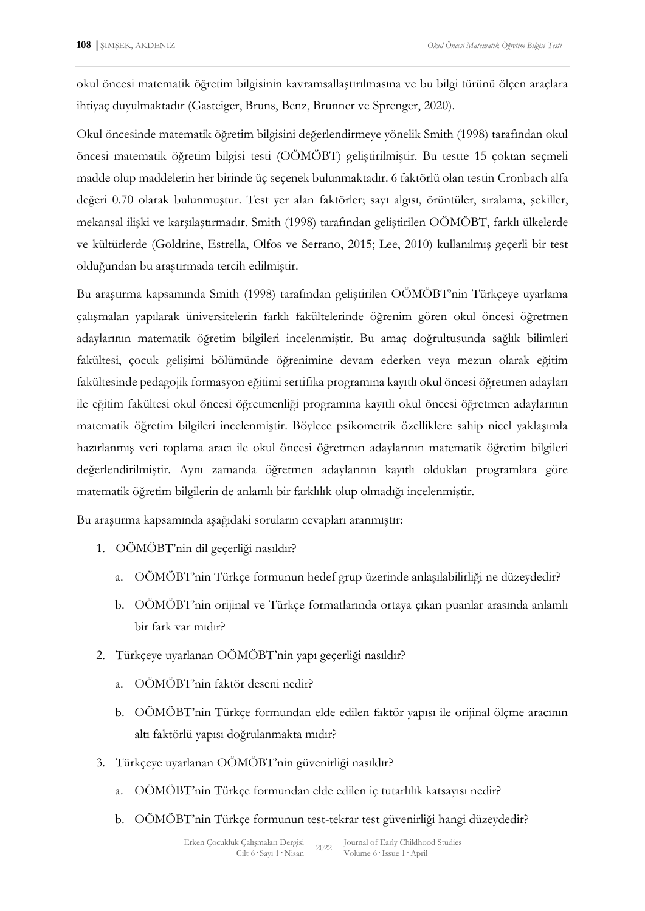okul öncesi matematik öğretim bilgisinin kavramsallaştırılmasına ve bu bilgi türünü ölçen araçlara ihtiyaç duyulmaktadır (Gasteiger, Bruns, Benz, Brunner ve Sprenger, 2020).

Okul öncesinde matematik öğretim bilgisini değerlendirmeye yönelik Smith (1998) tarafından okul öncesi matematik öğretim bilgisi testi (OÖMÖBT) geliştirilmiştir. Bu testte 15 çoktan seçmeli madde olup maddelerin her birinde üç seçenek bulunmaktadır. 6 faktörlü olan testin Cronbach alfa değeri 0.70 olarak bulunmuştur. Test yer alan faktörler; sayı algısı, örüntüler, sıralama, şekiller, mekansal ilişki ve karşılaştırmadır. Smith (1998) tarafından geliştirilen OÖMÖBT, farklı ülkelerde ve kültürlerde (Goldrine, Estrella, Olfos ve Serrano, 2015; Lee, 2010) kullanılmış geçerli bir test olduğundan bu araştırmada tercih edilmiştir.

Bu araştırma kapsamında Smith (1998) tarafından geliştirilen OÖMÖBT'nin Türkçeye uyarlama çalışmaları yapılarak üniversitelerin farklı fakültelerinde öğrenim gören okul öncesi öğretmen adaylarının matematik öğretim bilgileri incelenmiştir. Bu amaç doğrultusunda sağlık bilimleri fakültesi, çocuk gelişimi bölümünde öğrenimine devam ederken veya mezun olarak eğitim fakültesinde pedagojik formasyon eğitimi sertifika programına kayıtlı okul öncesi öğretmen adayları ile eğitim fakültesi okul öncesi öğretmenliği programına kayıtlı okul öncesi öğretmen adaylarının matematik öğretim bilgileri incelenmiştir. Böylece psikometrik özelliklere sahip nicel yaklaşımla hazırlanmış veri toplama aracı ile okul öncesi öğretmen adaylarının matematik öğretim bilgileri değerlendirilmiştir. Aynı zamanda öğretmen adaylarının kayıtlı oldukları programlara göre matematik öğretim bilgilerin de anlamlı bir farklılık olup olmadığı incelenmiştir.

Bu araştırma kapsamında aşağıdaki soruların cevapları aranmıştır:

- 1. OÖMÖBT'nin dil geçerliği nasıldır?
	- a. OÖMÖBT'nin Türkçe formunun hedef grup üzerinde anlaşılabilirliği ne düzeydedir?
	- b. OÖMÖBT'nin orijinal ve Türkçe formatlarında ortaya çıkan puanlar arasında anlamlı bir fark var mıdır?
- 2. Türkçeye uyarlanan OÖMÖBT'nin yapı geçerliği nasıldır?
	- a. OÖMÖBT'nin faktör deseni nedir?
	- b. OÖMÖBT'nin Türkçe formundan elde edilen faktör yapısı ile orijinal ölçme aracının altı faktörlü yapısı doğrulanmakta mıdır?
- 3. Türkçeye uyarlanan OÖMÖBT'nin güvenirliği nasıldır?
	- a. OÖMÖBT'nin Türkçe formundan elde edilen iç tutarlılık katsayısı nedir?
	- b. OÖMÖBT'nin Türkçe formunun test-tekrar test güvenirliği hangi düzeydedir?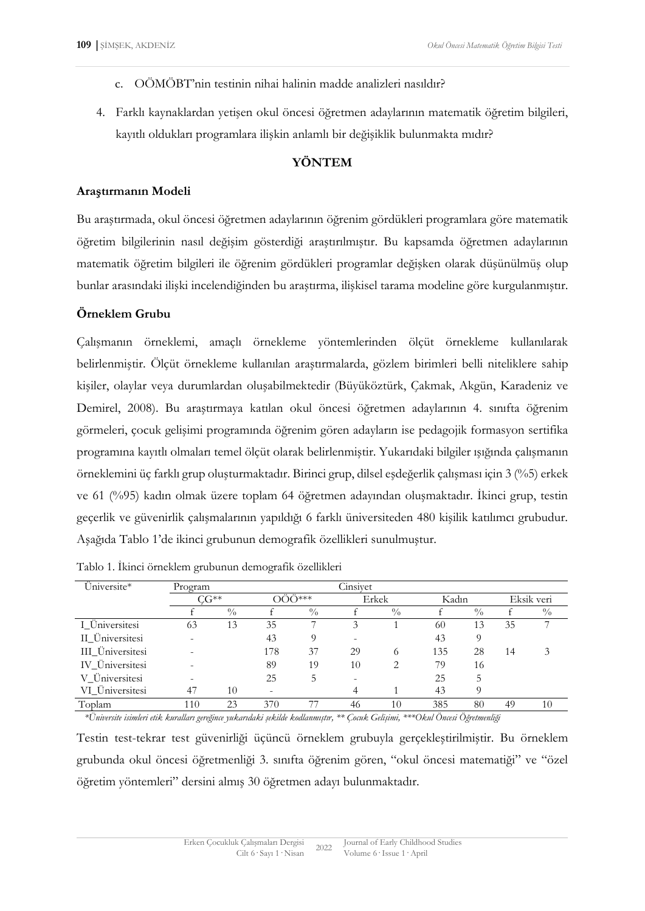- c. OÖMÖBT'nin testinin nihai halinin madde analizleri nasıldır?
- 4. Farklı kaynaklardan yetişen okul öncesi öğretmen adaylarının matematik öğretim bilgileri, kayıtlı oldukları programlara ilişkin anlamlı bir değişiklik bulunmakta mıdır?

### **YÖNTEM**

#### **Araştırmanın Modeli**

Bu araştırmada, okul öncesi öğretmen adaylarının öğrenim gördükleri programlara göre matematik öğretim bilgilerinin nasıl değişim gösterdiği araştırılmıştır. Bu kapsamda öğretmen adaylarının matematik öğretim bilgileri ile öğrenim gördükleri programlar değişken olarak düşünülmüş olup bunlar arasındaki ilişki incelendiğinden bu araştırma, ilişkisel tarama modeline göre kurgulanmıştır.

### **Örneklem Grubu**

Çalışmanın örneklemi, amaçlı örnekleme yöntemlerinden ölçüt örnekleme kullanılarak belirlenmiştir. Ölçüt örnekleme kullanılan araştırmalarda, gözlem birimleri belli niteliklere sahip kişiler, olaylar veya durumlardan oluşabilmektedir (Büyüköztürk, Çakmak, Akgün, Karadeniz ve Demirel, 2008). Bu araştırmaya katılan okul öncesi öğretmen adaylarının 4. sınıfta öğrenim görmeleri, çocuk gelişimi programında öğrenim gören adayların ise pedagojik formasyon sertifika programına kayıtlı olmaları temel ölçüt olarak belirlenmiştir. Yukarıdaki bilgiler ışığında çalışmanın örneklemini üç farklı grup oluşturmaktadır. Birinci grup, dilsel eşdeğerlik çalışması için 3 (%5) erkek ve 61 (%95) kadın olmak üzere toplam 64 öğretmen adayından oluşmaktadır. İkinci grup, testin geçerlik ve güvenirlik çalışmalarının yapıldığı 6 farklı üniversiteden 480 kişilik katılımcı grubudur. Aşağıda Tablo 1'de ikinci grubunun demografik özellikleri sunulmuştur.

| Üniversite*      | Cinsiyet<br>Program |               |       |               |                          |               |       |               |            |               |
|------------------|---------------------|---------------|-------|---------------|--------------------------|---------------|-------|---------------|------------|---------------|
|                  | $CG**$              |               | ÖÖ*** |               | Erkek                    |               | Kadın |               | Eksik veri |               |
|                  |                     | $\frac{0}{0}$ |       | $\frac{0}{0}$ |                          | $\frac{0}{0}$ |       | $\frac{0}{0}$ |            | $\frac{0}{0}$ |
| I Üniversitesi   | 63                  | 13            | 35    |               | 3                        |               | 60    | 13            | 35         |               |
| II Üniversitesi  |                     |               | 43    | 9             |                          |               | 43    | 9             |            |               |
| III Üniversitesi |                     |               | 178   | 37            | 29                       | $^{\circ}$    | 135   | 28            | 14         | 3             |
| IV_Üniversitesi  |                     |               | 89    | 19            | 10                       | っ             | 79    | 16            |            |               |
| V Üniversitesi   |                     |               | 25    | 5             | $\overline{\phantom{0}}$ |               | 25    | 5             |            |               |
| VI Üniversitesi  | 47                  | 10            |       |               |                          |               | 43    | Q             |            |               |
| Toplam           | 110                 | 23            | 370   | 77            | 46                       | 10            | 385   | 80            | 49         | 10            |

Tablo 1. İkinci örneklem grubunun demografik özellikleri

*\*Üniversite isimleri etik kuralları gereğince yukarıdaki şekilde kodlanmıştır, \*\* [Çocuk Gelişimi](http://cgb.kku.edu.tr/), \*\*\*Okul Öncesi Öğretmenliği*

Testin test-tekrar test güvenirliği üçüncü örneklem grubuyla gerçekleştirilmiştir. Bu örneklem grubunda okul öncesi öğretmenliği 3. sınıfta öğrenim gören, "okul öncesi matematiği" ve "özel öğretim yöntemleri" dersini almış 30 öğretmen adayı bulunmaktadır.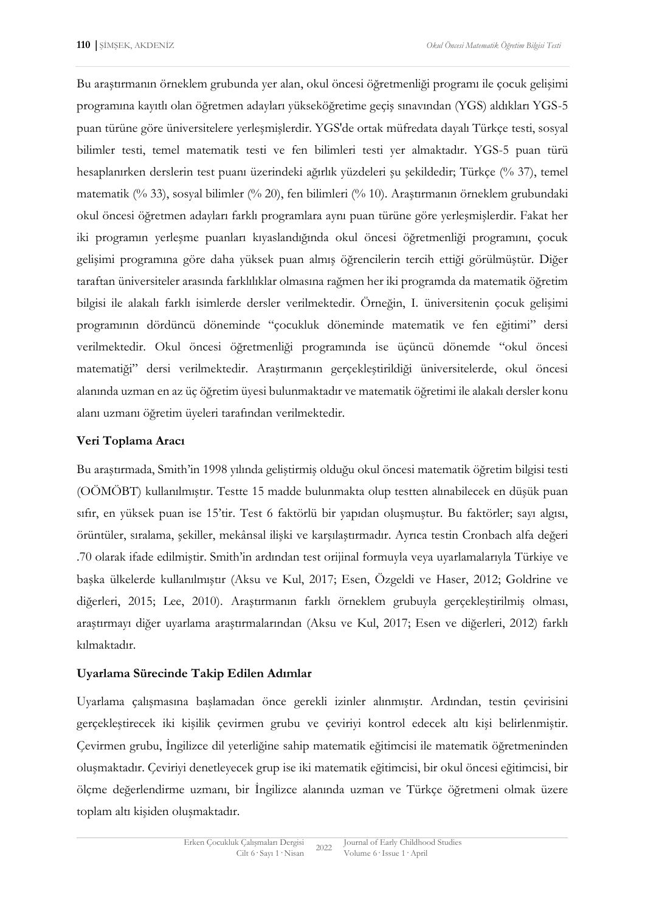Bu araştırmanın örneklem grubunda yer alan, okul öncesi öğretmenliği programı ile çocuk gelişimi programına kayıtlı olan öğretmen adayları yükseköğretime geçiş sınavından (YGS) aldıkları YGS-5 puan türüne göre üniversitelere yerleşmişlerdir. YGS'de ortak müfredata dayalı Türkçe testi, sosyal bilimler testi, temel matematik testi ve fen bilimleri testi yer almaktadır. YGS-5 puan türü hesaplanırken derslerin test puanı üzerindeki ağırlık yüzdeleri şu şekildedir; Türkçe (% 37), temel matematik (% 33), sosyal bilimler (% 20), fen bilimleri (% 10). Araştırmanın örneklem grubundaki okul öncesi öğretmen adayları farklı programlara aynı puan türüne göre yerleşmişlerdir. Fakat her iki programın yerleşme puanları kıyaslandığında okul öncesi öğretmenliği programını, çocuk gelişimi programına göre daha yüksek puan almış öğrencilerin tercih ettiği görülmüştür. Diğer taraftan üniversiteler arasında farklılıklar olmasına rağmen her iki programda da matematik öğretim bilgisi ile alakalı farklı isimlerde dersler verilmektedir. Örneğin, I. üniversitenin çocuk gelişimi programının dördüncü döneminde "çocukluk döneminde matematik ve fen eğitimi" dersi verilmektedir. Okul öncesi öğretmenliği programında ise üçüncü dönemde "okul öncesi matematiği" dersi verilmektedir. Araştırmanın gerçekleştirildiği üniversitelerde, okul öncesi alanında uzman en az üç öğretim üyesi bulunmaktadır ve matematik öğretimi ile alakalı dersler konu alanı uzmanı öğretim üyeleri tarafından verilmektedir.

# **Veri Toplama Aracı**

Bu araştırmada, Smith'in 1998 yılında geliştirmiş olduğu okul öncesi matematik öğretim bilgisi testi (OÖMÖBT) kullanılmıştır. Testte 15 madde bulunmakta olup testten alınabilecek en düşük puan sıfır, en yüksek puan ise 15'tir. Test 6 faktörlü bir yapıdan oluşmuştur. Bu faktörler; sayı algısı, örüntüler, sıralama, şekiller, mekânsal ilişki ve karşılaştırmadır. Ayrıca testin Cronbach alfa değeri .70 olarak ifade edilmiştir. Smith'in ardından test orijinal formuyla veya uyarlamalarıyla Türkiye ve başka ülkelerde kullanılmıştır (Aksu ve Kul, 2017; Esen, Özgeldi ve Haser, 2012; Goldrine ve diğerleri, 2015; Lee, 2010). Araştırmanın farklı örneklem grubuyla gerçekleştirilmiş olması, araştırmayı diğer uyarlama araştırmalarından (Aksu ve Kul, 2017; Esen ve diğerleri, 2012) farklı kılmaktadır.

# **Uyarlama Sürecinde Takip Edilen Adımlar**

Uyarlama çalışmasına başlamadan önce gerekli izinler alınmıştır. Ardından, testin çevirisini gerçekleştirecek iki kişilik çevirmen grubu ve çeviriyi kontrol edecek altı kişi belirlenmiştir. Çevirmen grubu, İngilizce dil yeterliğine sahip matematik eğitimcisi ile matematik öğretmeninden oluşmaktadır. Çeviriyi denetleyecek grup ise iki matematik eğitimcisi, bir okul öncesi eğitimcisi, bir ölçme değerlendirme uzmanı, bir İngilizce alanında uzman ve Türkçe öğretmeni olmak üzere toplam altı kişiden oluşmaktadır.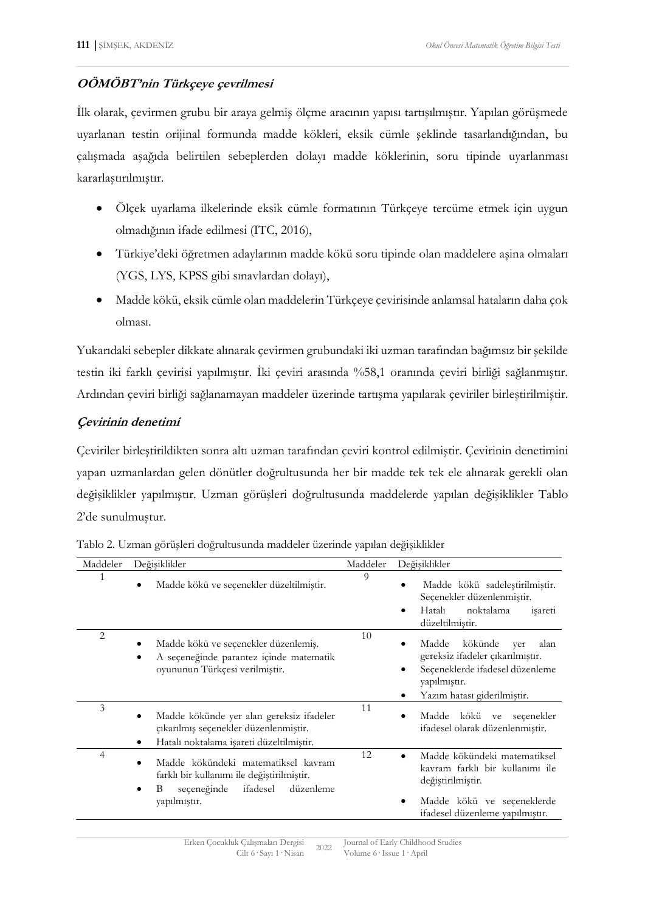# **OÖMÖBT'nin Türkçeye çevrilmesi**

İlk olarak, çevirmen grubu bir araya gelmiş ölçme aracının yapısı tartışılmıştır. Yapılan görüşmede uyarlanan testin orijinal formunda madde kökleri, eksik cümle şeklinde tasarlandığından, bu çalışmada aşağıda belirtilen sebeplerden dolayı madde köklerinin, soru tipinde uyarlanması kararlaştırılmıştır.

- Ölçek uyarlama ilkelerinde eksik cümle formatının Türkçeye tercüme etmek için uygun olmadığının ifade edilmesi (ITC, 2016),
- Türkiye'deki öğretmen adaylarının madde kökü soru tipinde olan maddelere aşina olmaları (YGS, LYS, KPSS gibi sınavlardan dolayı),
- Madde kökü, eksik cümle olan maddelerin Türkçeye çevirisinde anlamsal hataların daha çok olması.

Yukarıdaki sebepler dikkate alınarak çevirmen grubundaki iki uzman tarafından bağımsız bir şekilde testin iki farklı çevirisi yapılmıştır. İki çeviri arasında %58,1 oranında çeviri birliği sağlanmıştır. Ardından çeviri birliği sağlanamayan maddeler üzerinde tartışma yapılarak çeviriler birleştirilmiştir.

# **Çevirinin denetimi**

Çeviriler birleştirildikten sonra altı uzman tarafından çeviri kontrol edilmiştir. Çevirinin denetimini yapan uzmanlardan gelen dönütler doğrultusunda her bir madde tek tek ele alınarak gerekli olan değişiklikler yapılmıştır. Uzman görüşleri doğrultusunda maddelerde yapılan değişiklikler Tablo 2'de sunulmuştur.

| Maddeler | Değişiklikler                                                                                                                  | Maddeler | Değişiklikler                                                                                                                                         |
|----------|--------------------------------------------------------------------------------------------------------------------------------|----------|-------------------------------------------------------------------------------------------------------------------------------------------------------|
|          | Madde kökü ve seçenekler düzeltilmiştir.                                                                                       | 9        | Madde kökü sadeleştirilmiştir.<br>$\bullet$<br>Seçenekler düzenlenmiştir.<br>Hatalı<br>noktalama<br>isareti<br>٠<br>düzeltilmiştir.                   |
| 2        | Madde kökü ve seçenekler düzenlemiş.<br>A seçeneğinde parantez içinde matematik<br>oyununun Türkçesi verilmiştir.              | 10       | kökünde<br>Madde<br>alan<br>ver<br>gereksiz ifadeler çıkarılmıştır.<br>Seçeneklerde ifadesel düzenleme<br>yapılmıştır.<br>Yazım hatası giderilmiştir. |
| 3        | Madde kökünde yer alan gereksiz ifadeler<br>çıkarılmış seçenekler düzenlenmiştir.<br>Hatalı noktalama işareti düzeltilmiştir.  | 11       | Madde kökü ve seçenekler<br>ifadesel olarak düzenlenmiştir.                                                                                           |
| 4        | Madde kökündeki matematiksel kavram<br>farklı bir kullanımı ile değiştirilmiştir.<br>seçeneğinde<br>ifadesel<br>düzenleme<br>B | 12       | Madde kökündeki matematiksel<br>kavram farklı bir kullanımı ile<br>değiştirilmiştir.                                                                  |
|          | yapılmıştır.                                                                                                                   |          | Madde kökü ve seçeneklerde<br>ifadesel düzenleme yapılmıştır.                                                                                         |

Tablo 2. Uzman görüşleri doğrultusunda maddeler üzerinde yapılan değişiklikler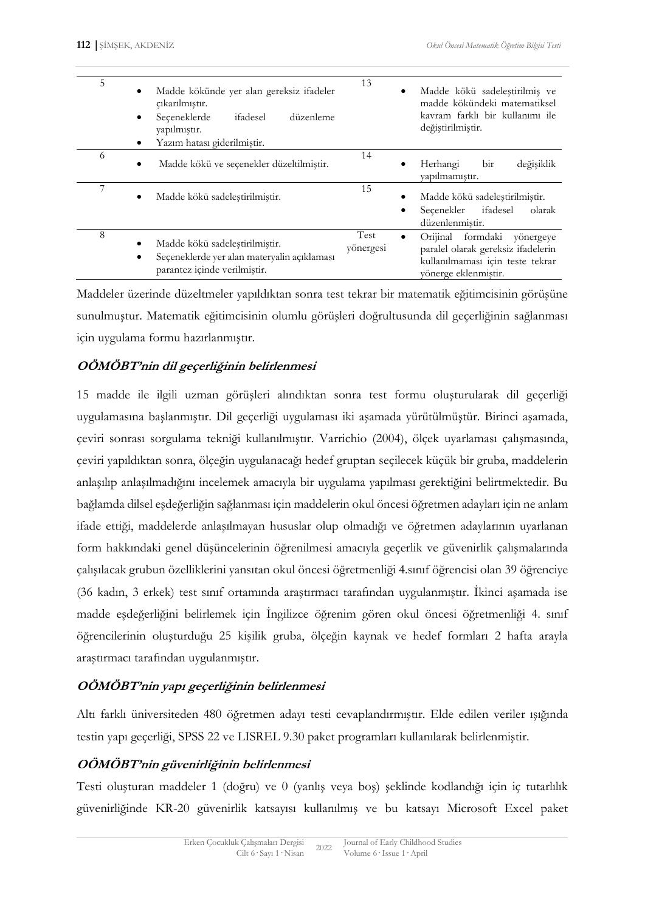| 5 | Madde kökünde yer alan gereksiz ifadeler<br>$\bullet$<br>cikarilmiştir.<br>Seceneklerde<br>ifadesel<br>düzenleme<br>$\bullet$<br>yapılmıştır.<br>Yazım hatası giderilmiştir. | 13                       | Madde kökü sadeleştirilmiş ve<br>madde kökündeki matematiksel<br>kayram farklı bir kullanımı ile<br>değiştirilmiştir.            |
|---|------------------------------------------------------------------------------------------------------------------------------------------------------------------------------|--------------------------|----------------------------------------------------------------------------------------------------------------------------------|
| 6 | Madde kökü ve seçenekler düzeltilmiştir.<br>$\bullet$                                                                                                                        | 14                       | değişiklik<br>Herhangi<br>bir<br>yapılmamıştır.                                                                                  |
| 7 | Madde kökü sadeleştirilmiştir.<br>$\bullet$                                                                                                                                  | 15                       | Madde kökü sadeleştirilmiştir.<br>ifadesel<br>olarak<br>Secenekler<br>düzenlenmiştir.                                            |
| 8 | Madde kökü sadeleştirilmiştir.<br>Seçeneklerde yer alan materyalin açıklaması<br>parantez içinde verilmiştir.                                                                | <b>Test</b><br>yönergesi | formdaki yönergeye<br>Orijinal<br>paralel olarak gereksiz ifadelerin<br>kullanılmaması için teste tekrar<br>yönerge eklenmiştir. |

Maddeler üzerinde düzeltmeler yapıldıktan sonra test tekrar bir matematik eğitimcisinin görüşüne sunulmuştur. Matematik eğitimcisinin olumlu görüşleri doğrultusunda dil geçerliğinin sağlanması için uygulama formu hazırlanmıştır.

# **OÖMÖBT'nin dil geçerliğinin belirlenmesi**

15 madde ile ilgili uzman görüşleri alındıktan sonra test formu oluşturularak dil geçerliği uygulamasına başlanmıştır. Dil geçerliği uygulaması iki aşamada yürütülmüştür. Birinci aşamada, çeviri sonrası sorgulama tekniği kullanılmıştır. Varrichio (2004), ölçek uyarlaması çalışmasında, çeviri yapıldıktan sonra, ölçeğin uygulanacağı hedef gruptan seçilecek küçük bir gruba, maddelerin anlaşılıp anlaşılmadığını incelemek amacıyla bir uygulama yapılması gerektiğini belirtmektedir. Bu bağlamda dilsel eşdeğerliğin sağlanması için maddelerin okul öncesi öğretmen adayları için ne anlam ifade ettiği, maddelerde anlaşılmayan hususlar olup olmadığı ve öğretmen adaylarının uyarlanan form hakkındaki genel düşüncelerinin öğrenilmesi amacıyla geçerlik ve güvenirlik çalışmalarında çalışılacak grubun özelliklerini yansıtan okul öncesi öğretmenliği 4.sınıf öğrencisi olan 39 öğrenciye (36 kadın, 3 erkek) test sınıf ortamında araştırmacı tarafından uygulanmıştır. İkinci aşamada ise madde eşdeğerliğini belirlemek için İngilizce öğrenim gören okul öncesi öğretmenliği 4. sınıf öğrencilerinin oluşturduğu 25 kişilik gruba, ölçeğin kaynak ve hedef formları 2 hafta arayla araştırmacı tarafından uygulanmıştır.

# **OÖMÖBT'nin yapı geçerliğinin belirlenmesi**

Altı farklı üniversiteden 480 öğretmen adayı testi cevaplandırmıştır. Elde edilen veriler ışığında testin yapı geçerliği, SPSS 22 ve LISREL 9.30 paket programları kullanılarak belirlenmiştir.

# **OÖMÖBT'nin güvenirliğinin belirlenmesi**

Testi oluşturan maddeler 1 (doğru) ve 0 (yanlış veya boş) şeklinde kodlandığı için iç tutarlılık güvenirliğinde KR-20 güvenirlik katsayısı kullanılmış ve bu katsayı Microsoft Excel paket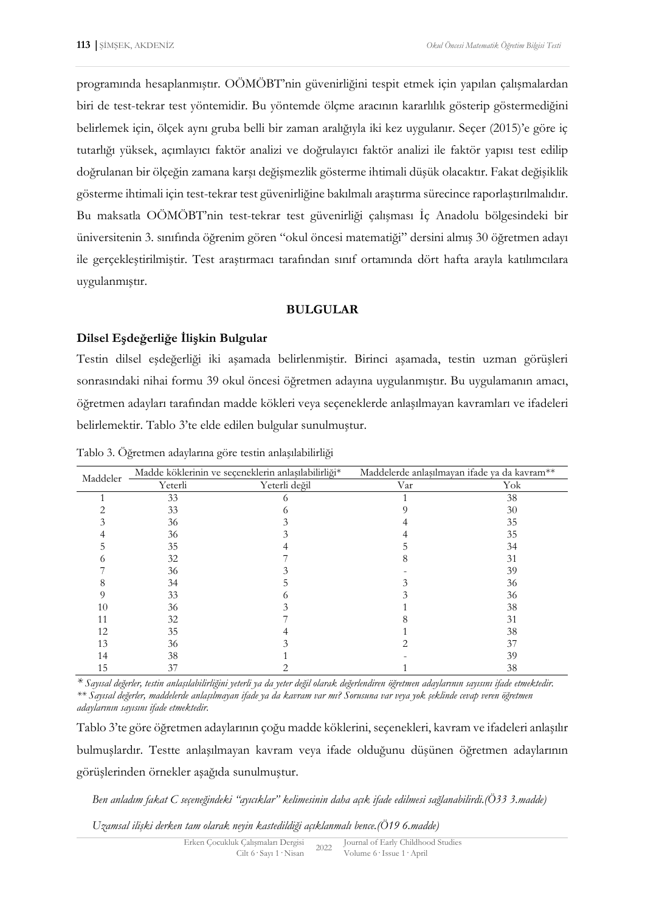programında hesaplanmıştır. OÖMÖBT'nin güvenirliğini tespit etmek için yapılan çalışmalardan biri de test-tekrar test yöntemidir. Bu yöntemde ölçme aracının kararlılık gösterip göstermediğini belirlemek için, ölçek aynı gruba belli bir zaman aralığıyla iki kez uygulanır. Seçer (2015)'e göre iç tutarlığı yüksek, açımlayıcı faktör analizi ve doğrulayıcı faktör analizi ile faktör yapısı test edilip doğrulanan bir ölçeğin zamana karşı değişmezlik gösterme ihtimali düşük olacaktır. Fakat değişiklik gösterme ihtimali için test-tekrar test güvenirliğine bakılmalı araştırma sürecince raporlaştırılmalıdır. Bu maksatla OÖMÖBT'nin test-tekrar test güvenirliği çalışması İç Anadolu bölgesindeki bir üniversitenin 3. sınıfında öğrenim gören "okul öncesi matematiği" dersini almış 30 öğretmen adayı ile gerçekleştirilmiştir. Test araştırmacı tarafından sınıf ortamında dört hafta arayla katılımcılara uygulanmıştır.

### **BULGULAR**

### **Dilsel Eşdeğerliğe İlişkin Bulgular**

Testin dilsel eşdeğerliği iki aşamada belirlenmiştir. Birinci aşamada, testin uzman görüşleri sonrasındaki nihai formu 39 okul öncesi öğretmen adayına uygulanmıştır. Bu uygulamanın amacı, öğretmen adayları tarafından madde kökleri veya seçeneklerde anlaşılmayan kavramları ve ifadeleri belirlemektir. Tablo 3'te elde edilen bulgular sunulmuştur.

| Maddeler |         | Madde köklerinin ve seçeneklerin anlaşılabilirliği* | Maddelerde anlaşılmayan ifade ya da kavram** |     |  |
|----------|---------|-----------------------------------------------------|----------------------------------------------|-----|--|
|          | Yeterli | Yeterli değil                                       | Var                                          | Yok |  |
|          | 33      |                                                     |                                              | 38  |  |
|          | 33      |                                                     |                                              | 30  |  |
|          | 36      |                                                     |                                              | 35  |  |
|          | 36      |                                                     |                                              | 35  |  |
|          | 35      |                                                     |                                              | 34  |  |
|          | 32      |                                                     |                                              | 31  |  |
|          | 36      |                                                     |                                              | 39  |  |
|          | 34      |                                                     |                                              | 36  |  |
|          | 33      |                                                     |                                              | 36  |  |
| 10       | 36      |                                                     |                                              | 38  |  |
|          | 32      |                                                     |                                              | 31  |  |
| 12       | 35      |                                                     |                                              | 38  |  |
| 13       | 36      |                                                     |                                              | 37  |  |
| 14       | 38      |                                                     |                                              | 39  |  |
| 15       | 37      |                                                     |                                              | 38  |  |

Tablo 3. Öğretmen adaylarına göre testin anlaşılabilirliği

*\* Sayısal değerler, testin anlaşılabilirliğini yeterli ya da yeter değil olarak değerlendiren öğretmen adaylarının sayısını ifade etmektedir. \*\* Sayısal değerler, maddelerde anlaşılmayan ifade ya da kavram var mı? Sorusuna var veya yok şeklinde cevap veren öğretmen adaylarının sayısını ifade etmektedir.* 

Tablo 3'te göre öğretmen adaylarının çoğu madde köklerini, seçenekleri, kavram ve ifadeleri anlaşılır bulmuşlardır. Testte anlaşılmayan kavram veya ifade olduğunu düşünen öğretmen adaylarının görüşlerinden örnekler aşağıda sunulmuştur.

*Ben anladım fakat C seçeneğindeki "ayıcıklar" kelimesinin daha açık ifade edilmesi sağlanabilirdi.(Ö33 3.madde)* 

*Uzamsal ilişki derken tam olarak neyin kastedildiği açıklanmalı bence.(Ö19 6.madde)*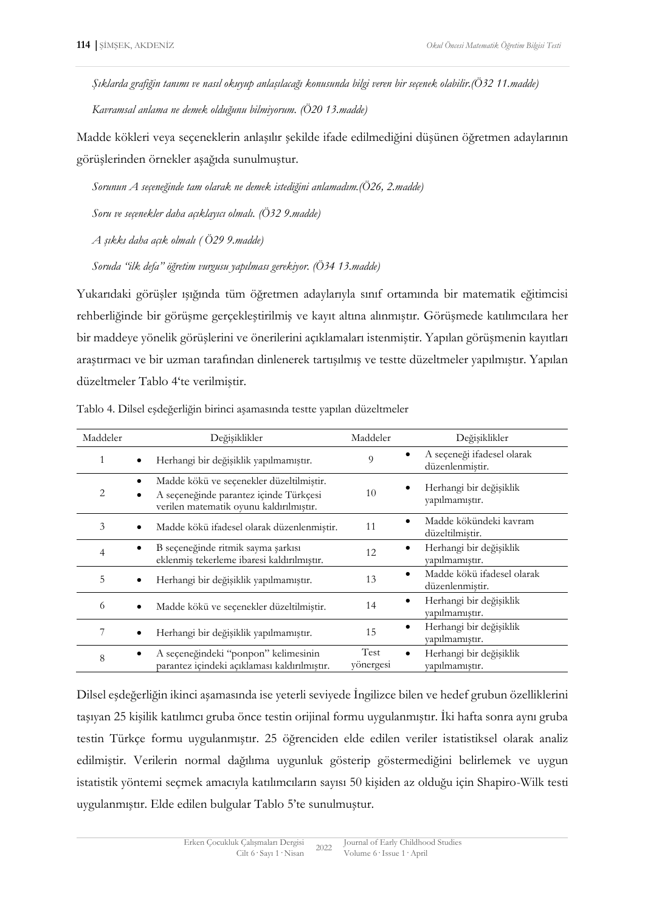*Şıklarda grafiğin tanımı ve nasıl okuyup anlaşılacağı konusunda bilgi veren bir seçenek olabilir.(Ö32 11.madde) Kavramsal anlama ne demek olduğunu bilmiyorum. (Ö20 13.madde)* 

Madde kökleri veya seçeneklerin anlaşılır şekilde ifade edilmediğini düşünen öğretmen adaylarının görüşlerinden örnekler aşağıda sunulmuştur.

*Sorunun A seçeneğinde tam olarak ne demek istediğini anlamadım.(Ö26, 2.madde)* 

*Soru ve seçenekler daha açıklayıcı olmalı. (Ö32 9.madde)* 

*A şıkkı daha açık olmalı ( Ö29 9.madde)* 

*Soruda "ilk defa" öğretim vurgusu yapılması gerekiyor. (Ö34 13.madde)* 

Yukarıdaki görüşler ışığında tüm öğretmen adaylarıyla sınıf ortamında bir matematik eğitimcisi rehberliğinde bir görüşme gerçekleştirilmiş ve kayıt altına alınmıştır. Görüşmede katılımcılara her bir maddeye yönelik görüşlerini ve önerilerini açıklamaları istenmiştir. Yapılan görüşmenin kayıtları araştırmacı ve bir uzman tarafından dinlenerek tartışılmış ve testte düzeltmeler yapılmıştır. Yapılan düzeltmeler Tablo 4'te verilmiştir.

| Maddeler | Değişiklikler                                                                                                                 | Maddeler          | Değişiklikler                                              |
|----------|-------------------------------------------------------------------------------------------------------------------------------|-------------------|------------------------------------------------------------|
|          | Herhangi bir değişiklik yapılmamıştır.                                                                                        | 9                 | A seçeneği ifadesel olarak<br>düzenlenmiştir.              |
| 2        | Madde kökü ve seçenekler düzeltilmiştir.<br>A seçeneğinde parantez içinde Türkçesi<br>verilen matematik oyunu kaldırılmıştır. | 10                | Herhangi bir değişiklik<br>yapılmamıştır.                  |
| 3        | Madde kökü ifadesel olarak düzenlenmiştir.                                                                                    | 11                | Madde kökündeki kavram<br>$\bullet$<br>düzeltilmiştir.     |
| 4        | B seçeneğinde ritmik sayma şarkısı<br>eklenmiş tekerleme ibaresi kaldırılmıştır.                                              | 12                | Herhangi bir değişiklik<br>$\bullet$<br>yapılmamıştır.     |
| 5        | Herhangi bir değişiklik yapılmamıştır.                                                                                        | 13                | Madde kökü ifadesel olarak<br>$\bullet$<br>düzenlenmiştir. |
| 6        | Madde kökü ve seçenekler düzeltilmiştir.                                                                                      | 14                | Herhangi bir değişiklik<br>٠<br>yapılmamıştır.             |
| 7        | Herhangi bir değişiklik yapılmamıştır.                                                                                        | 15                | Herhangi bir değişiklik<br>٠<br>yapılmamıştır.             |
| 8        | A seçeneğindeki "ponpon" kelimesinin<br>parantez içindeki açıklaması kaldırılmıştır.                                          | Test<br>vönergesi | Herhangi bir değişiklik<br>$\bullet$<br>yapılmamıştır.     |

Tablo 4. Dilsel eşdeğerliğin birinci aşamasında testte yapılan düzeltmeler

Dilsel eşdeğerliğin ikinci aşamasında ise yeterli seviyede İngilizce bilen ve hedef grubun özelliklerini taşıyan 25 kişilik katılımcı gruba önce testin orijinal formu uygulanmıştır. İki hafta sonra aynı gruba testin Türkçe formu uygulanmıştır. 25 öğrenciden elde edilen veriler istatistiksel olarak analiz edilmiştir. Verilerin normal dağılıma uygunluk gösterip göstermediğini belirlemek ve uygun istatistik yöntemi seçmek amacıyla katılımcıların sayısı 50 kişiden az olduğu için Shapiro-Wilk testi uygulanmıştır. Elde edilen bulgular Tablo 5'te sunulmuştur.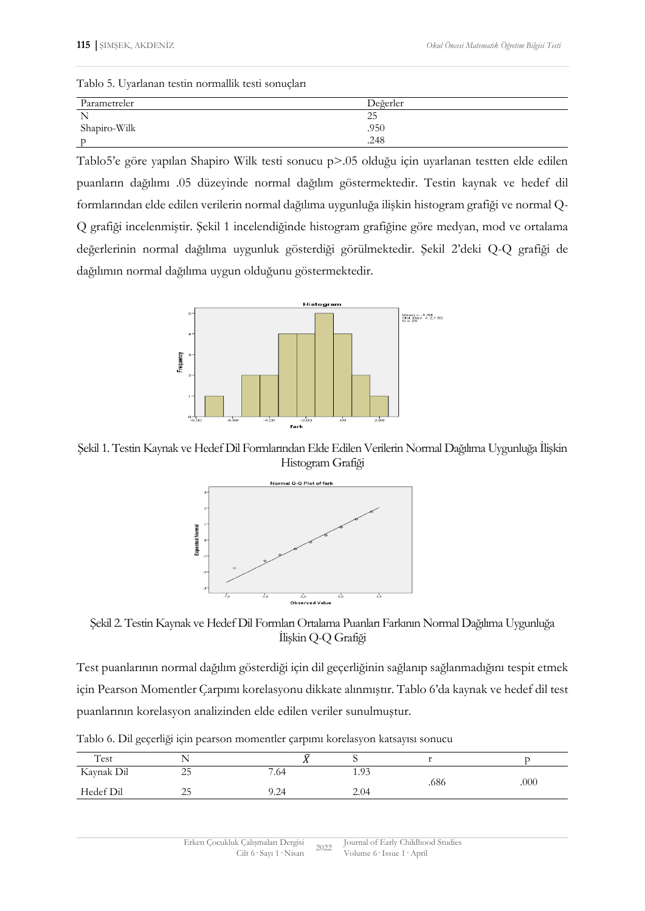|  | Tablo 5. Uyarlanan testin normallik testi sonuçları |  |  |
|--|-----------------------------------------------------|--|--|
|  |                                                     |  |  |

| Parametreler | Değerler |
|--------------|----------|
| N            | ت        |
| Shapiro-Wilk | .950     |
|              | .248     |

Tablo5'e göre yapılan Shapiro Wilk testi sonucu p>.05 olduğu için uyarlanan testten elde edilen puanların dağılımı .05 düzeyinde normal dağılım göstermektedir. Testin kaynak ve hedef dil formlarından elde edilen verilerin normal dağılıma uygunluğa ilişkin histogram grafiği ve normal Q-Q grafiği incelenmiştir. Şekil 1 incelendiğinde histogram grafiğine göre medyan, mod ve ortalama değerlerinin normal dağılıma uygunluk gösterdiği görülmektedir. Şekil 2'deki Q-Q grafiği de dağılımın normal dağılıma uygun olduğunu göstermektedir.



Şekil 1. Testin Kaynak ve Hedef Dil Formlarından Elde Edilen Verilerin Normal Dağılıma Uygunluğa İlişkin Histogram Grafiği



Şekil 2. Testin Kaynak ve Hedef Dil Formları Ortalama Puanları Farkının Normal Dağılıma Uygunluğa İlişkin Q-Q Grafiği

Test puanlarının normal dağılım gösterdiği için dil geçerliğinin sağlanıp sağlanmadığını tespit etmek için Pearson Momentler Çarpımı korelasyonu dikkate alınmıştır. Tablo 6'da kaynak ve hedef dil test puanlarının korelasyon analizinden elde edilen veriler sunulmuştur.

| Test       | ヽ<br><b>.</b> | . .  |      |      |      |
|------------|---------------|------|------|------|------|
| Kaynak Dil | $\cap$<br>25  | 7.64 | 1.93 | .686 | .000 |
| Hedef Dil  | ر ے           | 9.24 | 2.04 |      |      |

Tablo 6. Dil geçerliği için pearson momentler çarpımı korelasyon katsayısı sonucu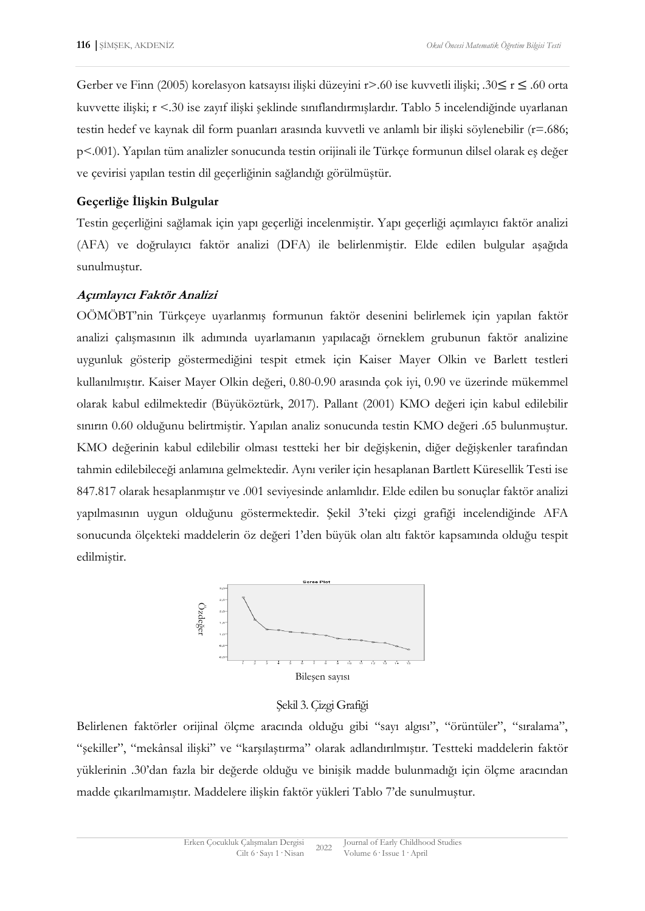Gerber ve Finn (2005) korelasyon katsayısı ilişki düzeyini r>.60 ise kuvvetli ilişki; .30≤ r ≤ .60 orta kuvvette ilişki; r <.30 ise zayıf ilişki şeklinde sınıflandırmışlardır. Tablo 5 incelendiğinde uyarlanan testin hedef ve kaynak dil form puanları arasında kuvvetli ve anlamlı bir ilişki söylenebilir (r=.686; p<.001). Yapılan tüm analizler sonucunda testin orijinali ile Türkçe formunun dilsel olarak eş değer ve çevirisi yapılan testin dil geçerliğinin sağlandığı görülmüştür.

# **Geçerliğe İlişkin Bulgular**

Testin geçerliğini sağlamak için yapı geçerliği incelenmiştir. Yapı geçerliği açımlayıcı faktör analizi (AFA) ve doğrulayıcı faktör analizi (DFA) ile belirlenmiştir. Elde edilen bulgular aşağıda sunulmuştur.

# **Açımlayıcı Faktör Analizi**

OÖMÖBT'nin Türkçeye uyarlanmış formunun faktör desenini belirlemek için yapılan faktör analizi çalışmasının ilk adımında uyarlamanın yapılacağı örneklem grubunun faktör analizine uygunluk gösterip göstermediğini tespit etmek için Kaiser Mayer Olkin ve Barlett testleri kullanılmıştır. Kaiser Mayer Olkin değeri, 0.80-0.90 arasında çok iyi, 0.90 ve üzerinde mükemmel olarak kabul edilmektedir (Büyüköztürk, 2017). Pallant (2001) KMO değeri için kabul edilebilir sınırın 0.60 olduğunu belirtmiştir. Yapılan analiz sonucunda testin KMO değeri .65 bulunmuştur. KMO değerinin kabul edilebilir olması testteki her bir değişkenin, diğer değişkenler tarafından tahmin edilebileceği anlamına gelmektedir. Aynı veriler için hesaplanan Bartlett Küresellik Testi ise 847.817 olarak hesaplanmıştır ve .001 seviyesinde anlamlıdır. Elde edilen bu sonuçlar faktör analizi yapılmasının uygun olduğunu göstermektedir. Şekil 3'teki çizgi grafiği incelendiğinde AFA sonucunda ölçekteki maddelerin öz değeri 1'den büyük olan altı faktör kapsamında olduğu tespit edilmiştir.



### Şekil 3. Çizgi Grafiği

Belirlenen faktörler orijinal ölçme aracında olduğu gibi "sayı algısı", "örüntüler", "sıralama", "şekiller", "mekânsal ilişki" ve "karşılaştırma" olarak adlandırılmıştır. Testteki maddelerin faktör yüklerinin .30'dan fazla bir değerde olduğu ve binişik madde bulunmadığı için ölçme aracından madde çıkarılmamıştır. Maddelere ilişkin faktör yükleri Tablo 7'de sunulmuştur.<br>Tablo 7'de sunulmuştur. Maddelere ilişkin faktör yüklerinin 30'dan fazla bir değerde olduğu ve binişik madde bulunmadığı için madde çıkarılmam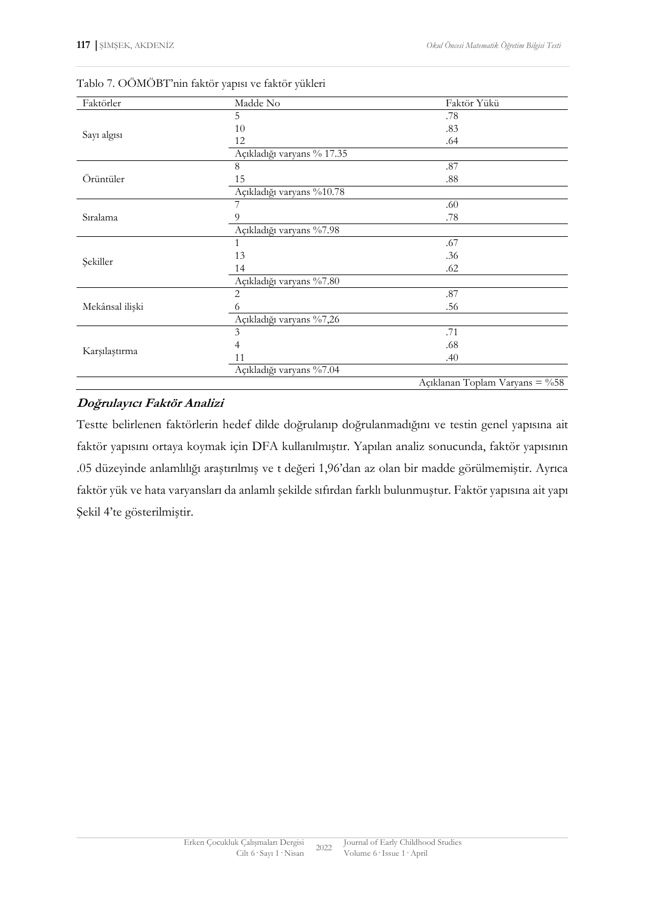| Faktörler       | Madde No                   | Faktör Yükü                    |
|-----------------|----------------------------|--------------------------------|
|                 | 5                          | .78                            |
|                 | 10                         | .83                            |
| Sayı algısı     | 12                         | .64                            |
|                 | Açıkladığı varyans % 17.35 |                                |
|                 | 8                          | .87                            |
| Örüntüler       | 15                         | .88                            |
|                 | Açıkladığı varyans %10.78  |                                |
|                 | 7                          | .60                            |
| Sıralama        | 9                          | .78                            |
|                 | Açıkladığı varyans %7.98   |                                |
|                 | 1                          | .67                            |
| Şekiller        | 13                         | .36                            |
|                 | 14                         | .62                            |
|                 | Açıkladığı varyans %7.80   |                                |
|                 | $\overline{2}$             | .87                            |
| Mekânsal ilişki | 6                          | .56                            |
|                 | Açıkladığı varyans %7,26   |                                |
|                 | 3                          | .71                            |
| Karşılaştırma   | 4                          | .68                            |
|                 | 11                         | .40                            |
|                 | Açıkladığı varyans %7.04   |                                |
|                 |                            | Açıklanan Toplam Varyans = %58 |

Tablo 7. OÖMÖBT'nin faktör yapısı ve faktör yükleri

# **Doğrulayıcı Faktör Analizi**

Testte belirlenen faktörlerin hedef dilde doğrulanıp doğrulanmadığını ve testin genel yapısına ait faktör yapısını ortaya koymak için DFA kullanılmıştır. Yapılan analiz sonucunda, faktör yapısının .05 düzeyinde anlamlılığı araştırılmış ve t değeri 1,96'dan az olan bir madde görülmemiştir. Ayrıca faktör yük ve hata varyansları da anlamlı şekilde sıfırdan farklı bulunmuştur. Faktör yapısına ait yapı Şekil 4'te gösterilmiştir.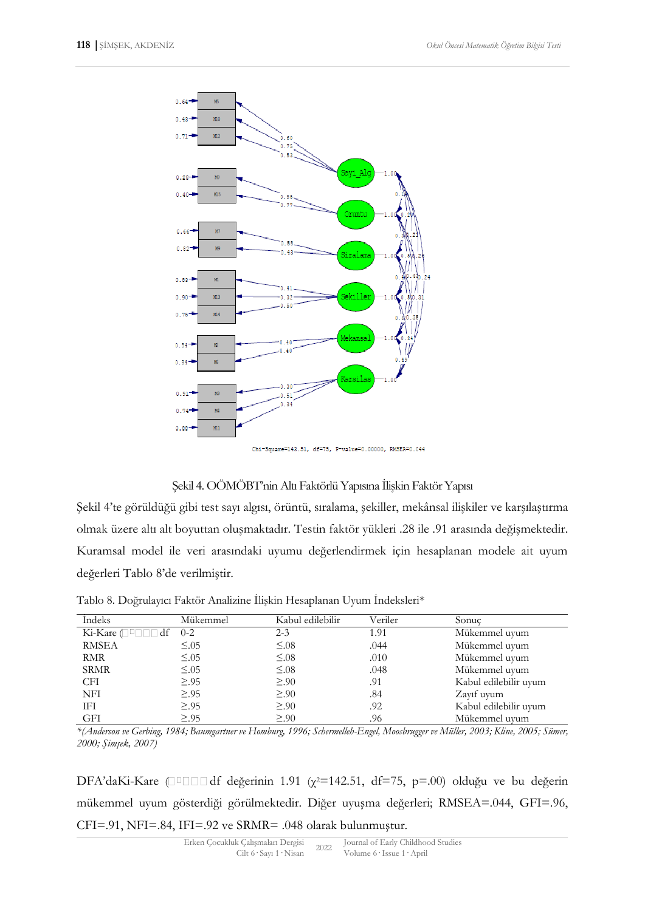

Chi-Square=143.51, df=75, P-value=0.00000, RMSEA=0.044

### Şekil 4. OÖMÖBT'nin Altı Faktörlü Yapısına İlişkin Faktör Yapısı

Şekil 4'te görüldüğü gibi test sayı algısı, örüntü, sıralama, şekiller, mekânsal ilişkiler ve karşılaştırma olmak üzere altı alt boyuttan oluşmaktadır. Testin faktör yükleri .28 ile .91 arasında değişmektedir. Kuramsal model ile veri arasındaki uyumu değerlendirmek için hesaplanan modele ait uyum değerleri Tablo 8'de verilmiştir.

| Indeks              | Mükemmel    | Kabul edilebilir | Veriler | Sonuc                 |
|---------------------|-------------|------------------|---------|-----------------------|
| Ki-Kare (□ □ □ □ df | $0 - 2$     | $2 - 3$          | 1.91    | Mükemmel uyum         |
| <b>RMSEA</b>        | $\leq 0.05$ | $\leq 0.08$      | .044    | Mükemmel uyum         |
| RMR                 | $\leq 0.05$ | $\leq 0.08$      | .010    | Mükemmel uyum         |
| <b>SRMR</b>         | $\leq 0.05$ | $\leq 0.08$      | .048    | Mükemmel uyum         |
| CFI                 | $\geq .95$  | $\geq 90$        | .91     | Kabul edilebilir uyum |
| <b>NFI</b>          | $\geq .95$  | $\geq 90$        | .84     | Zayıf uyum            |
| IFI                 | $\geq .95$  | $\geq 90$        | .92     | Kabul edilebilir uyum |
| GFI                 | $\geq .95$  | $\geq 90$        | .96     | Mükemmel uyum         |

Tablo 8. Doğrulayıcı Faktör Analizine İlişkin Hesaplanan Uyum İndeksleri\*

*\*(Anderson ve Gerbing, 1984; Baumgartner ve Homburg, 1996; Schermelleh-Engel, Moosbrugger ve Müller, 2003; Kline, 2005; Sümer, 2000; Şimşek, 2007)*

DFA'daKi-Kare  $\Box$   $\Box$   $\Box$  df değerinin 1.91 ( $\chi$ <sup>2=142.51</sup>, df=75, p=.00) olduğu ve bu değerin mükemmel uyum gösterdiği görülmektedir. Diğer uyuşma değerleri; RMSEA=.044, GFI=.96, CFI=.91, NFI=.84, IFI=.92 ve SRMR= .048 olarak bulunmuştur.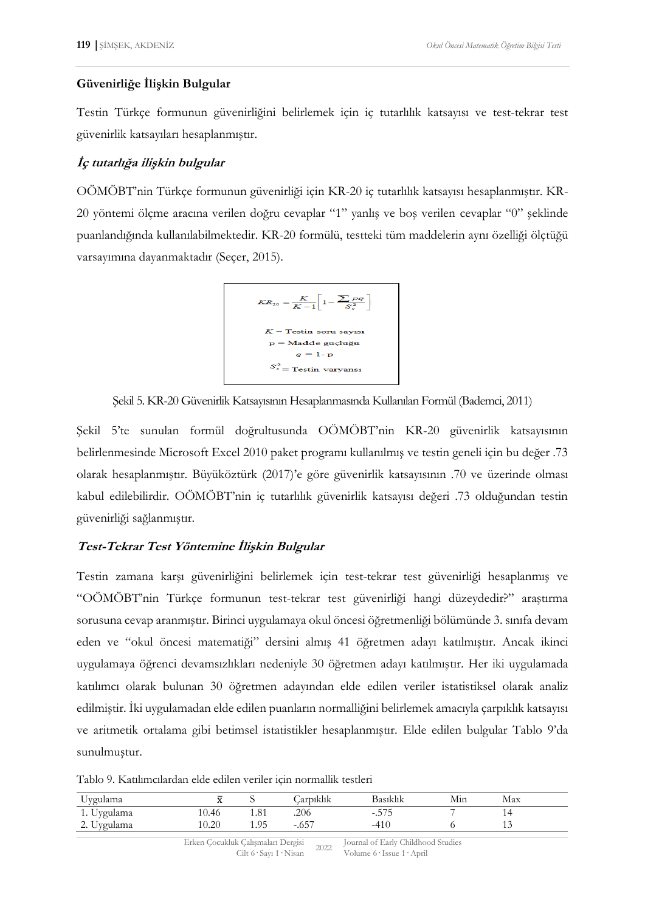#### **Güvenirliğe İlişkin Bulgular**

Testin Türkçe formunun güvenirliğini belirlemek için iç tutarlılık katsayısı ve test-tekrar test güvenirlik katsayıları hesaplanmıştır.

### **İç tutarlığa ilişkin bulgular**

OÖMÖBT'nin Türkçe formunun güvenirliği için KR-20 iç tutarlılık katsayısı hesaplanmıştır. KR-20 yöntemi ölçme aracına verilen doğru cevaplar "1" yanlış ve boş verilen cevaplar "0" şeklinde puanlandığında kullanılabilmektedir. KR-20 formülü, testteki tüm maddelerin aynı özelliği ölçtüğü varsayımına dayanmaktadır (Seçer, 2015).



Şekil 5. KR-20 Güvenirlik Katsayısının Hesaplanmasında Kullanılan Formül (Bademci, 2011)

Şekil 5'te sunulan formül doğrultusunda OÖMÖBT'nin KR-20 güvenirlik katsayısının belirlenmesinde Microsoft Excel 2010 paket programı kullanılmış ve testin geneli için bu değer .73 olarak hesaplanmıştır. Büyüköztürk (2017)'e göre güvenirlik katsayısının .70 ve üzerinde olması kabul edilebilirdir. OÖMÖBT'nin iç tutarlılık güvenirlik katsayısı değeri .73 olduğundan testin güvenirliği sağlanmıştır.

# **Test-Tekrar Test Yöntemine İlişkin Bulgular**

Testin zamana karşı güvenirliğini belirlemek için test-tekrar test güvenirliği hesaplanmış ve "OÖMÖBT'nin Türkçe formunun test-tekrar test güvenirliği hangi düzeydedir?" araştırma sorusuna cevap aranmıştır. Birinci uygulamaya okul öncesi öğretmenliği bölümünde 3. sınıfa devam eden ve "okul öncesi matematiği" dersini almış 41 öğretmen adayı katılmıştır. Ancak ikinci uygulamaya öğrenci devamsızlıkları nedeniyle 30 öğretmen adayı katılmıştır. Her iki uygulamada katılımcı olarak bulunan 30 öğretmen adayından elde edilen veriler istatistiksel olarak analiz edilmiştir. İki uygulamadan elde edilen puanların normalliğini belirlemek amacıyla çarpıklık katsayısı ve aritmetik ortalama gibi betimsel istatistikler hesaplanmıştır. Elde edilen bulgular Tablo 9'da sunulmuştur.

Tablo 9. Katılımcılardan elde edilen veriler için normallik testleri

| Uygulama                    |       |              | .<br>Carpıklık | Basıklık     | Mın | Max |  |
|-----------------------------|-------|--------------|----------------|--------------|-----|-----|--|
| $\mathbf{r}$<br>1. Uygulama | 10.46 | 1.81         | .206           | ---<br>ں ، ب |     |     |  |
| Jygulama<br>ں .ے            | 10.20 | O5<br>1. J J | $-657$<br>.v.  | -4<br>+1V    |     | .   |  |

Erken Çocukluk Çalışmaları Dergisi k Çalışmaları Dergisi<br>Cilt 6 · Sayı 1 · Nisan 2022 Journal of Early Childhood Studies Volume 6· Issue 1· April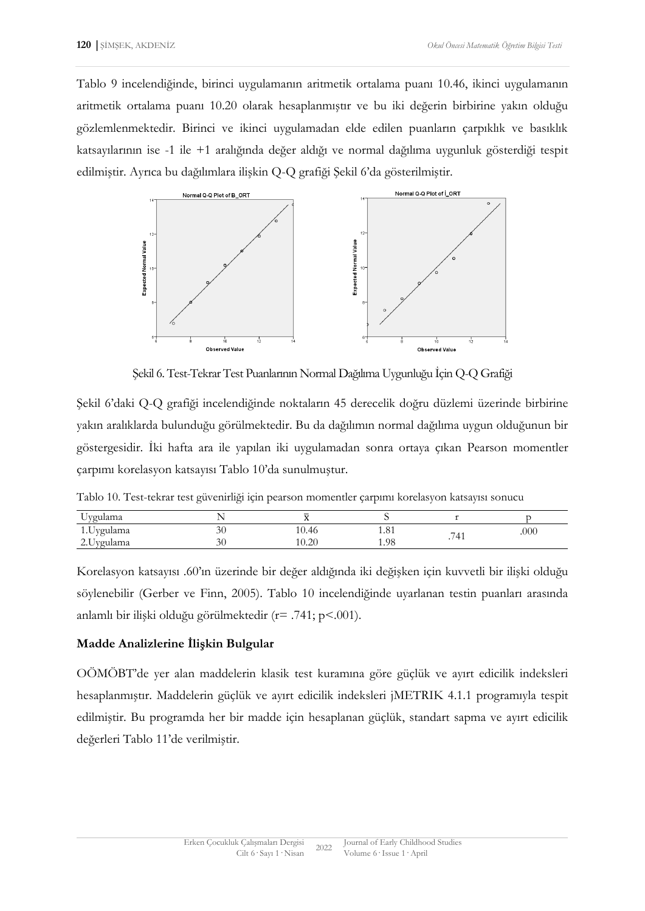Tablo 9 incelendiğinde, birinci uygulamanın aritmetik ortalama puanı 10.46, ikinci uygulamanın aritmetik ortalama puanı 10.20 olarak hesaplanmıştır ve bu iki değerin birbirine yakın olduğu gözlemlenmektedir. Birinci ve ikinci uygulamadan elde edilen puanların çarpıklık ve basıklık katsayılarının ise -1 ile +1 aralığında değer aldığı ve normal dağılıma uygunluk gösterdiği tespit edilmiştir. Ayrıca bu dağılımlara ilişkin Q-Q grafiği Şekil 6'da gösterilmiştir.



Şekil 6. Test-Tekrar Test Puanlarının Normal Dağılıma Uygunluğu İçin Q-Q Grafiği

Şekil 6'daki Q-Q grafiği incelendiğinde noktaların 45 derecelik doğru düzlemi üzerinde birbirine yakın aralıklarda bulunduğu görülmektedir. Bu da dağılımın normal dağılıma uygun olduğunun bir göstergesidir. İki hafta ara ile yapılan iki uygulamadan sonra ortaya çıkan Pearson momentler çarpımı korelasyon katsayısı Tablo 10'da sunulmuştur.

|  | Tablo 10. Test-tekrar test güvenirliği için pearson momentler çarpımı korelasyon katsayısı sonucu |  |  |  |  |
|--|---------------------------------------------------------------------------------------------------|--|--|--|--|
|  |                                                                                                   |  |  |  |  |

| Jygulama                                 |           |                                    |      |                         |      |
|------------------------------------------|-----------|------------------------------------|------|-------------------------|------|
| 1.Uygulama                               | IJΨ       | 10.46                              | 1.01 | $-111$<br>$\sqrt{ }$    | .000 |
| <u>vg</u> ulama<br>$\sim\!\!\sim$ $\vee$ | n c<br>ЭU | $\mathcal{D}$<br>$\Omega$<br>10.40 | 1.98 | $\cdot$ $\cdot$ $\cdot$ |      |

Korelasyon katsayısı .60'ın üzerinde bir değer aldığında iki değişken için kuvvetli bir ilişki olduğu söylenebilir (Gerber ve Finn, 2005). Tablo 10 incelendiğinde uyarlanan testin puanları arasında anlamlı bir ilişki olduğu görülmektedir (r= .741; p<.001).

#### **Madde Analizlerine İlişkin Bulgular**

OÖMÖBT'de yer alan maddelerin klasik test kuramına göre güçlük ve ayırt edicilik indeksleri hesaplanmıştır. Maddelerin güçlük ve ayırt edicilik indeksleri jMETRIK 4.1.1 programıyla tespit edilmiştir. Bu programda her bir madde için hesaplanan güçlük, standart sapma ve ayırt edicilik değerleri Tablo 11'de verilmiştir.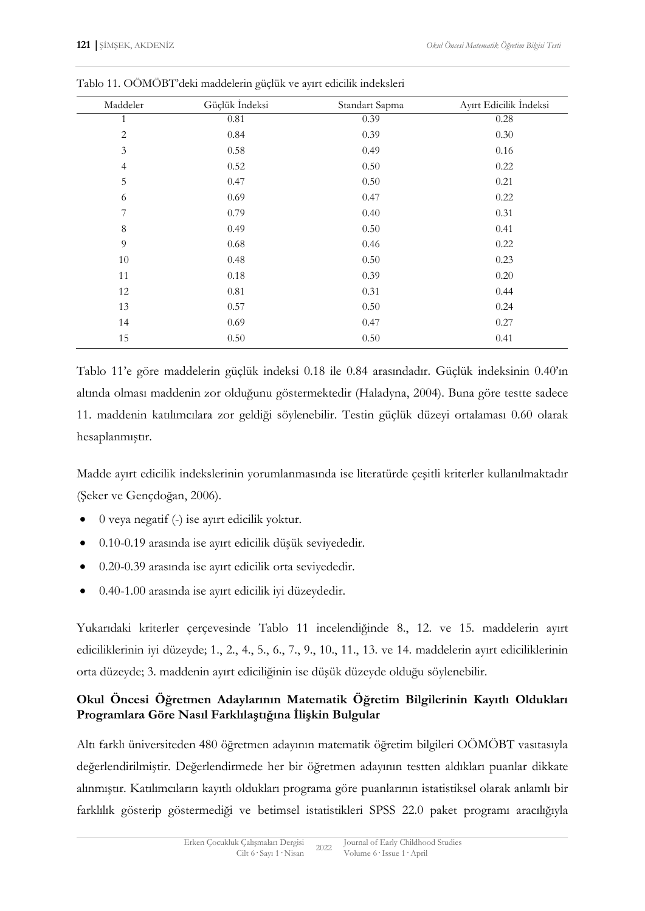| Maddeler       | Güçlük İndeksi | Standart Sapma | Ayırt Edicilik İndeksi |
|----------------|----------------|----------------|------------------------|
| 1              | 0.81           | 0.39           | 0.28                   |
| $\overline{2}$ | 0.84           | 0.39           | 0.30                   |
| $\mathfrak{Z}$ | 0.58           | 0.49           | 0.16                   |
| $\overline{4}$ | 0.52           | 0.50           | 0.22                   |
| 5              | 0.47           | 0.50           | 0.21                   |
| 6              | 0.69           | 0.47           | 0.22                   |
| 7              | 0.79           | 0.40           | 0.31                   |
| $\,8\,$        | 0.49           | 0.50           | 0.41                   |
| 9              | 0.68           | 0.46           | 0.22                   |
| 10             | 0.48           | 0.50           | 0.23                   |
| 11             | $0.18\,$       | 0.39           | 0.20                   |
| 12             | $0.81\,$       | 0.31           | 0.44                   |
| 13             | 0.57           | 0.50           | 0.24                   |
| 14             | 0.69           | 0.47           | 0.27                   |
| 15             | 0.50           | 0.50           | 0.41                   |

Tablo 11. OÖMÖBT'deki maddelerin güçlük ve ayırt edicilik indeksleri

Tablo 11'e göre maddelerin güçlük indeksi 0.18 ile 0.84 arasındadır. Güçlük indeksinin 0.40'ın altında olması maddenin zor olduğunu göstermektedir (Haladyna, 2004). Buna göre testte sadece 11. maddenin katılımcılara zor geldiği söylenebilir. Testin güçlük düzeyi ortalaması 0.60 olarak hesaplanmıştır.

Madde ayırt edicilik indekslerinin yorumlanmasında ise literatürde çeşitli kriterler kullanılmaktadır (Şeker ve Gençdoğan, 2006).

- 0 veya negatif (-) ise ayırt edicilik yoktur.
- 0.10-0.19 arasında ise ayırt edicilik düşük seviyededir.
- 0.20-0.39 arasında ise ayırt edicilik orta seviyededir.
- 0.40-1.00 arasında ise ayırt edicilik iyi düzeydedir.

Yukarıdaki kriterler çerçevesinde Tablo 11 incelendiğinde 8., 12. ve 15. maddelerin ayırt ediciliklerinin iyi düzeyde; 1., 2., 4., 5., 6., 7., 9., 10., 11., 13. ve 14. maddelerin ayırt ediciliklerinin orta düzeyde; 3. maddenin ayırt ediciliğinin ise düşük düzeyde olduğu söylenebilir.

# **Okul Öncesi Öğretmen Adaylarının Matematik Öğretim Bilgilerinin Kayıtlı Oldukları Programlara Göre Nasıl Farklılaştığına İlişkin Bulgular**

Altı farklı üniversiteden 480 öğretmen adayının matematik öğretim bilgileri OÖMÖBT vasıtasıyla değerlendirilmiştir. Değerlendirmede her bir öğretmen adayının testten aldıkları puanlar dikkate alınmıştır. Katılımcıların kayıtlı oldukları programa göre puanlarının istatistiksel olarak anlamlı bir farklılık gösterip göstermediği ve betimsel istatistikleri SPSS 22.0 paket programı aracılığıyla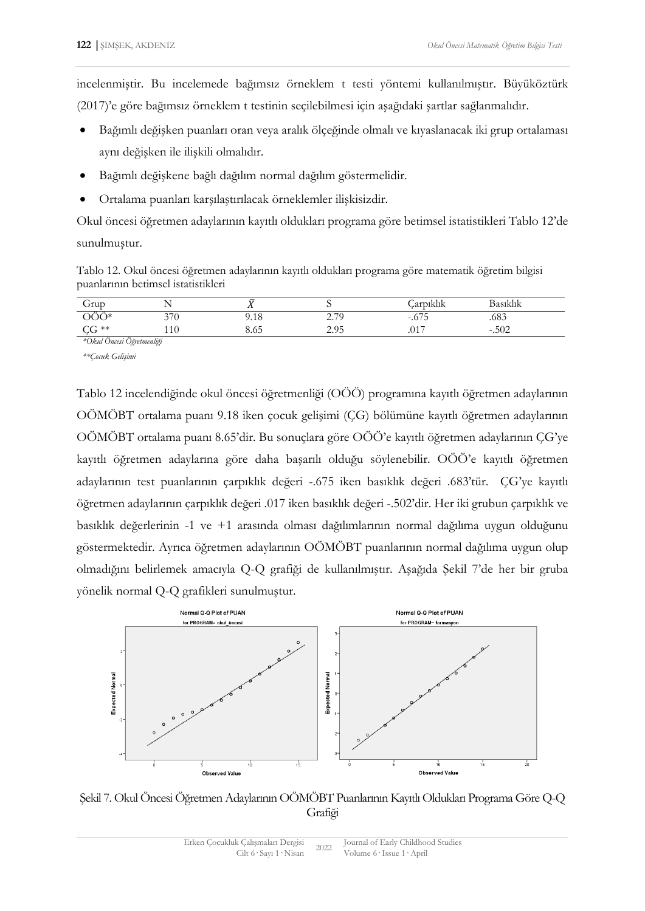incelenmiştir. Bu incelemede bağımsız örneklem t testi yöntemi kullanılmıştır. Büyüköztürk (2017)'e göre bağımsız örneklem t testinin seçilebilmesi için aşağıdaki şartlar sağlanmalıdır.

- Bağımlı değişken puanları oran veya aralık ölçeğinde olmalı ve kıyaslanacak iki grup ortalaması aynı değişken ile ilişkili olmalıdır.
- Bağımlı değişkene bağlı dağılım normal dağılım göstermelidir.
- Ortalama puanları karşılaştırılacak örneklemler ilişkisizdir.

Okul öncesi öğretmen adaylarının kayıtlı oldukları programa göre betimsel istatistikleri Tablo 12'de sunulmuştur.

Tablo 12. Okul öncesi öğretmen adaylarının kayıtlı oldukları programa göre matematik öğretim bilgisi puanlarının betimsel istatistikleri

| Grup                      |     | $\overline{\phantom{a}}$<br>- 1 |                                   | 111<br>. aroiklik | Basıklık  |
|---------------------------|-----|---------------------------------|-----------------------------------|-------------------|-----------|
| - -<br>า∩∗                | 370 | 9.18                            | 70<br>⌒<br><u>، ،</u><br><u>_</u> | $-.675$           | .683      |
| $CG**$                    | 110 | 8.05                            | 2.95                              | .017              | .502<br>- |
| *Okul Öncesi Öğretmenliği |     |                                 |                                   |                   |           |

*\*\*[Çocuk Gelişimi](http://cgb.kku.edu.tr/)* 

Tablo 12 incelendiğinde okul öncesi öğretmenliği (OÖÖ) programına kayıtlı öğretmen adaylarının OÖMÖBT ortalama puanı 9.18 iken [çocuk gelişimi](http://cgb.kku.edu.tr/) (ÇG) bölümüne kayıtlı öğretmen adaylarının OÖMÖBT ortalama puanı 8.65'dir. Bu sonuçlara göre OÖÖ'e kayıtlı öğretmen adaylarının ÇG'ye kayıtlı öğretmen adaylarına göre daha başarılı olduğu söylenebilir. OÖÖ'e kayıtlı öğretmen adaylarının test puanlarının çarpıklık değeri -.675 iken basıklık değeri .683'tür. ÇG'ye kayıtlı öğretmen adaylarının çarpıklık değeri .017 iken basıklık değeri -.502'dir. Her iki grubun çarpıklık ve basıklık değerlerinin -1 ve +1 arasında olması dağılımlarının normal dağılıma uygun olduğunu göstermektedir. Ayrıca öğretmen adaylarının OÖMÖBT puanlarının normal dağılıma uygun olup olmadığını belirlemek amacıyla Q-Q grafiği de kullanılmıştır. Aşağıda Şekil 7'de her bir gruba yönelik normal Q-Q grafikleri sunulmuştur.



Şekil 7. Okul Öncesi Öğretmen Adaylarının OÖMÖBT Puanlarının Kayıtlı Oldukları Programa Göre Q-Q Grafiği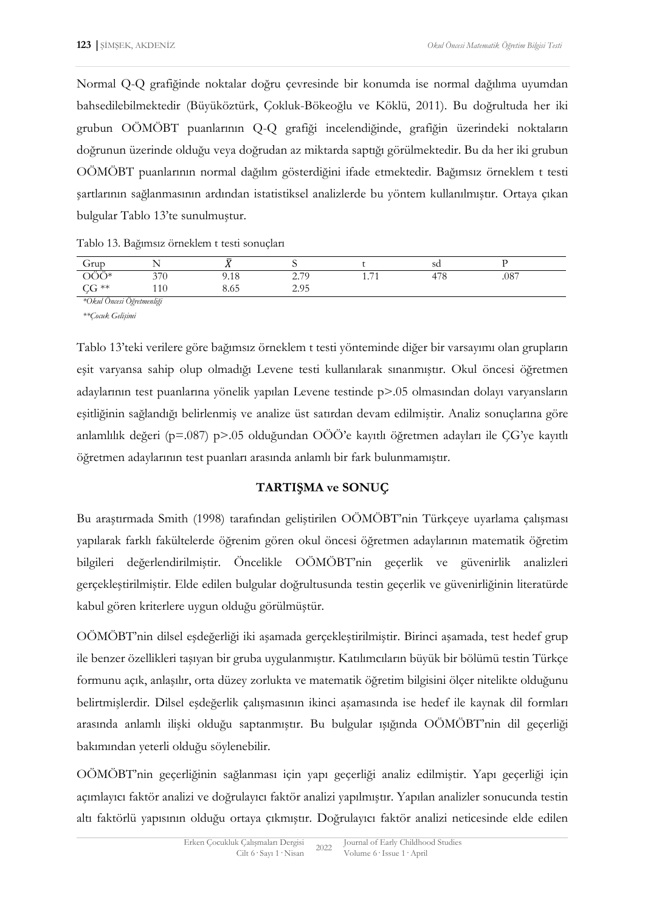Normal Q-Q grafiğinde noktalar doğru çevresinde bir konumda ise normal dağılıma uyumdan bahsedilebilmektedir (Büyüköztürk, Çokluk-Bökeoğlu ve Köklü, 2011). Bu doğrultuda her iki grubun OÖMÖBT puanlarının Q-Q grafiği incelendiğinde, grafiğin üzerindeki noktaların doğrunun üzerinde olduğu veya doğrudan az miktarda saptığı görülmektedir. Bu da her iki grubun OÖMÖBT puanlarının normal dağılım gösterdiğini ifade etmektedir. Bağımsız örneklem t testi şartlarının sağlanmasının ardından istatistiksel analizlerde bu yöntem kullanılmıştır. Ortaya çıkan bulgular Tablo 13'te sunulmuştur.

Tablo 13. Bağımsız örneklem t testi sonuçları

| $\sigma$ rup              |     | $\overline{\phantom{a}}$<br>. .  |                                  |                                             | sd                                  |      |
|---------------------------|-----|----------------------------------|----------------------------------|---------------------------------------------|-------------------------------------|------|
| $\cdots$<br>า∩∗           | 270 | 9.18                             | 2.70<br>$\overline{\phantom{a}}$ | $\overline{\phantom{a}}$<br>$\cdot$ $\cdot$ | $\overline{\phantom{a}}$<br>$\circ$ | .087 |
| $C$ **<br>$\sim$          | 110 | $\Omega$ $\sim$ $\Gamma$<br>8.05 | 205<br>ر د.ء                     |                                             |                                     |      |
| *Okul Öncesi Öğretmenliği |     |                                  |                                  |                                             |                                     |      |

*\*\*[Çocuk Gelişimi](http://cgb.kku.edu.tr/)* 

Tablo 13'teki verilere göre bağımsız örneklem t testi yönteminde diğer bir varsayımı olan grupların eşit varyansa sahip olup olmadığı Levene testi kullanılarak sınanmıştır. Okul öncesi öğretmen adaylarının test puanlarına yönelik yapılan Levene testinde p>.05 olmasından dolayı varyansların eşitliğinin sağlandığı belirlenmiş ve analize üst satırdan devam edilmiştir. Analiz sonuçlarına göre anlamlılık değeri (p=.087) p>.05 olduğundan OÖÖ'e kayıtlı öğretmen adayları ile ÇG'ye kayıtlı öğretmen adaylarının test puanları arasında anlamlı bir fark bulunmamıştır.

### **TARTIŞMA ve SONUÇ**

Bu araştırmada Smith (1998) tarafından geliştirilen OÖMÖBT'nin Türkçeye uyarlama çalışması yapılarak farklı fakültelerde öğrenim gören okul öncesi öğretmen adaylarının matematik öğretim bilgileri değerlendirilmiştir. Öncelikle OÖMÖBT'nin geçerlik ve güvenirlik analizleri gerçekleştirilmiştir. Elde edilen bulgular doğrultusunda testin geçerlik ve güvenirliğinin literatürde kabul gören kriterlere uygun olduğu görülmüştür.

OÖMÖBT'nin dilsel eşdeğerliği iki aşamada gerçekleştirilmiştir. Birinci aşamada, test hedef grup ile benzer özellikleri taşıyan bir gruba uygulanmıştır. Katılımcıların büyük bir bölümü testin Türkçe formunu açık, anlaşılır, orta düzey zorlukta ve matematik öğretim bilgisini ölçer nitelikte olduğunu belirtmişlerdir. Dilsel eşdeğerlik çalışmasının ikinci aşamasında ise hedef ile kaynak dil formları arasında anlamlı ilişki olduğu saptanmıştır. Bu bulgular ışığında OÖMÖBT'nin dil geçerliği bakımından yeterli olduğu söylenebilir.

OÖMÖBT'nin geçerliğinin sağlanması için yapı geçerliği analiz edilmiştir. Yapı geçerliği için açımlayıcı faktör analizi ve doğrulayıcı faktör analizi yapılmıştır. Yapılan analizler sonucunda testin altı faktörlü yapısının olduğu ortaya çıkmıştır. Doğrulayıcı faktör analizi neticesinde elde edilen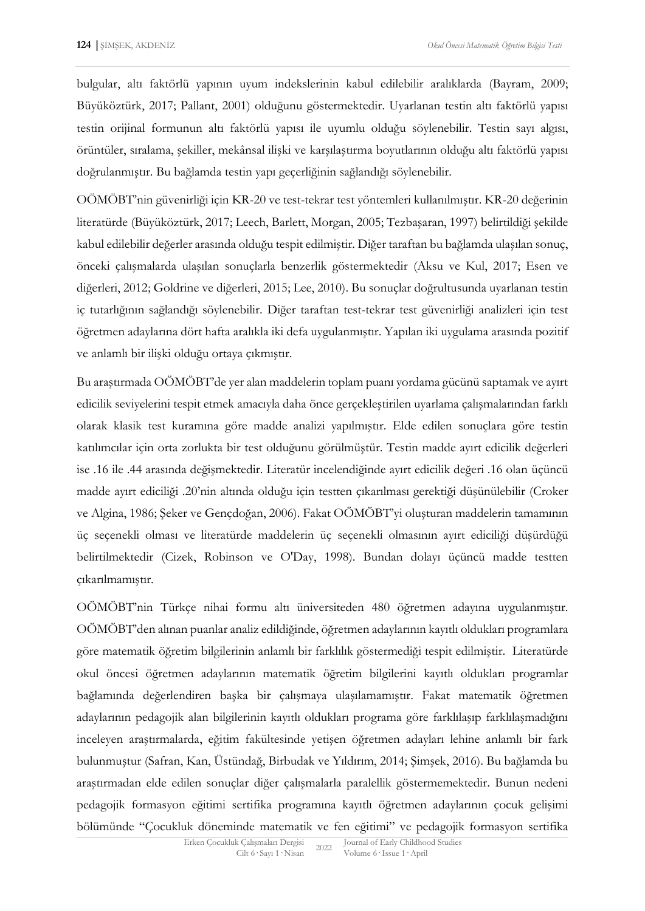bulgular, altı faktörlü yapının uyum indekslerinin kabul edilebilir aralıklarda (Bayram, 2009; Büyüköztürk, 2017; Pallant, 2001) olduğunu göstermektedir. Uyarlanan testin altı faktörlü yapısı testin orijinal formunun altı faktörlü yapısı ile uyumlu olduğu söylenebilir. Testin sayı algısı, örüntüler, sıralama, şekiller, mekânsal ilişki ve karşılaştırma boyutlarının olduğu altı faktörlü yapısı doğrulanmıştır. Bu bağlamda testin yapı geçerliğinin sağlandığı söylenebilir.

OÖMÖBT'nin güvenirliği için KR-20 ve test-tekrar test yöntemleri kullanılmıştır. KR-20 değerinin literatürde (Büyüköztürk, 2017; Leech, Barlett, Morgan, 2005; Tezbaşaran, 1997) belirtildiği şekilde kabul edilebilir değerler arasında olduğu tespit edilmiştir. Diğer taraftan bu bağlamda ulaşılan sonuç, önceki çalışmalarda ulaşılan sonuçlarla benzerlik göstermektedir (Aksu ve Kul, 2017; Esen ve diğerleri, 2012; Goldrine ve diğerleri, 2015; Lee, 2010). Bu sonuçlar doğrultusunda uyarlanan testin iç tutarlığının sağlandığı söylenebilir. Diğer taraftan test-tekrar test güvenirliği analizleri için test öğretmen adaylarına dört hafta aralıkla iki defa uygulanmıştır. Yapılan iki uygulama arasında pozitif ve anlamlı bir ilişki olduğu ortaya çıkmıştır.

Bu araştırmada OÖMÖBT'de yer alan maddelerin toplam puanı yordama gücünü saptamak ve ayırt edicilik seviyelerini tespit etmek amacıyla daha önce gerçekleştirilen uyarlama çalışmalarından farklı olarak klasik test kuramına göre madde analizi yapılmıştır. Elde edilen sonuçlara göre testin katılımcılar için orta zorlukta bir test olduğunu görülmüştür. Testin madde ayırt edicilik değerleri ise .16 ile .44 arasında değişmektedir. Literatür incelendiğinde ayırt edicilik değeri .16 olan üçüncü madde ayırt ediciliği .20'nin altında olduğu için testten çıkarılması gerektiği düşünülebilir (Croker ve Algina, 1986; Şeker ve Gençdoğan, 2006). Fakat OÖMÖBT'yi oluşturan maddelerin tamamının üç seçenekli olması ve literatürde maddelerin üç seçenekli olmasının ayırt ediciliği düşürdüğü belirtilmektedir (Cizek, Robinson ve O'Day, 1998). Bundan dolayı üçüncü madde testten çıkarılmamıştır.

OÖMÖBT'nin Türkçe nihai formu altı üniversiteden 480 öğretmen adayına uygulanmıştır. OÖMÖBT'den alınan puanlar analiz edildiğinde, öğretmen adaylarının kayıtlı oldukları programlara göre matematik öğretim bilgilerinin anlamlı bir farklılık göstermediği tespit edilmiştir. Literatürde okul öncesi öğretmen adaylarının matematik öğretim bilgilerini kayıtlı oldukları programlar bağlamında değerlendiren başka bir çalışmaya ulaşılamamıştır. Fakat matematik öğretmen adaylarının pedagojik alan bilgilerinin kayıtlı oldukları programa göre farklılaşıp farklılaşmadığını inceleyen araştırmalarda, eğitim fakültesinde yetişen öğretmen adayları lehine anlamlı bir fark bulunmuştur (Safran, Kan, Üstündağ, Birbudak ve Yıldırım, 2014; Şimşek, 2016). Bu bağlamda bu araştırmadan elde edilen sonuçlar diğer çalışmalarla paralellik göstermemektedir. Bunun nedeni pedagojik formasyon eğitimi sertifika programına kayıtlı öğretmen adaylarının çocuk gelişimi bölümünde "Çocukluk döneminde matematik ve fen eğitimi" ve pedagojik formasyon sertifika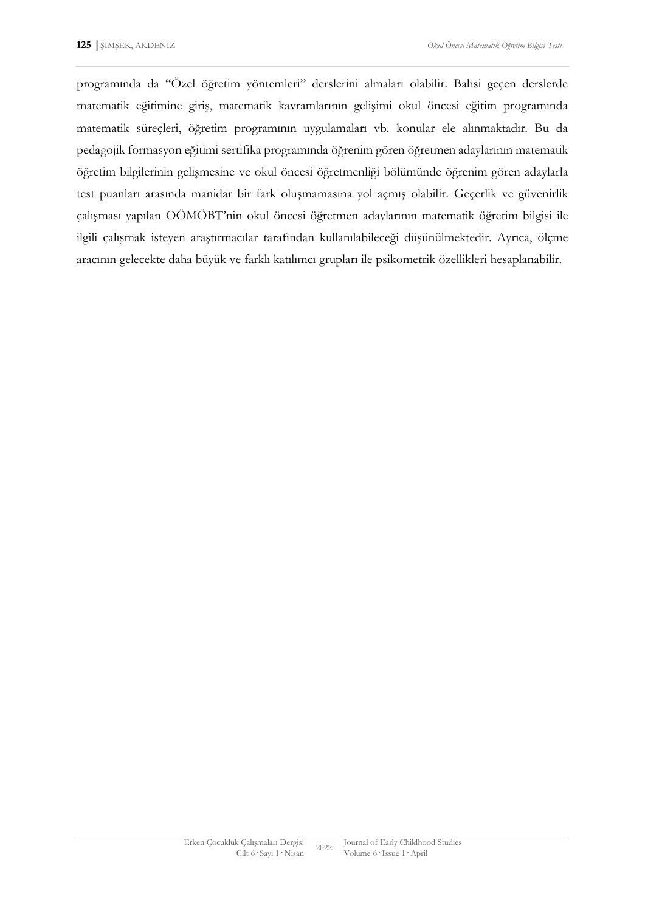programında da "Özel öğretim yöntemleri" derslerini almaları olabilir. Bahsi geçen derslerde matematik eğitimine giriş, matematik kavramlarının gelişimi okul öncesi eğitim programında matematik süreçleri, öğretim programının uygulamaları vb. konular ele alınmaktadır. Bu da pedagojik formasyon eğitimi sertifika programında öğrenim gören öğretmen adaylarının matematik öğretim bilgilerinin gelişmesine ve okul öncesi öğretmenliği bölümünde öğrenim gören adaylarla test puanları arasında manidar bir fark oluşmamasına yol açmış olabilir. Geçerlik ve güvenirlik çalışması yapılan OÖMÖBT'nin okul öncesi öğretmen adaylarının matematik öğretim bilgisi ile ilgili çalışmak isteyen araştırmacılar tarafından kullanılabileceği düşünülmektedir. Ayrıca, ölçme aracının gelecekte daha büyük ve farklı katılımcı grupları ile psikometrik özellikleri hesaplanabilir.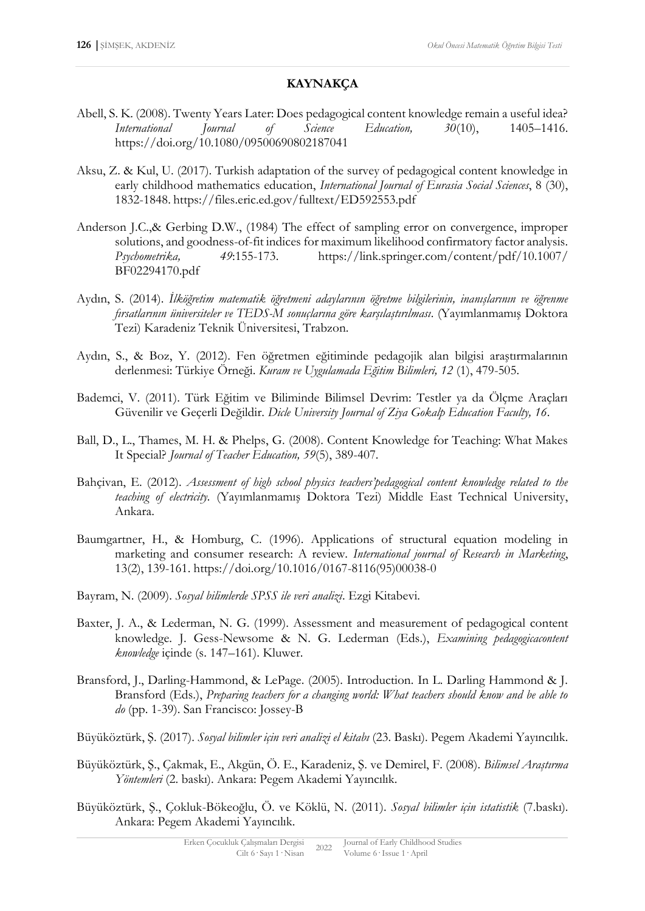# **KAYNAKÇA**

- Abell, S. K. (2008). Twenty Years Later: Does pedagogical content knowledge remain a useful idea? *International Journal of Science Education, 30*(10), 1405–1416. <https://doi.org/10.1080/09500690802187041>
- Aksu, Z. & Kul, U. (2017). Turkish adaptation of the survey of pedagogical content knowledge in early childhood mathematics education, *International Journal of Eurasia Social Sciences*, 8 (30), 1832-1848. https://files.eric.ed.gov/fulltext/ED592553.pdf
- Anderson J.C.,& Gerbing D.W., (1984) The effect of sampling error on convergence, improper solutions, and goodness-of-fit indices for maximum likelihood confirmatory factor analysis. *Psychometrika, 49*:155-173. <https://link.springer.com/content/pdf/10.1007/> BF02294170.pdf
- Aydın, S. (2014). *İlköğretim matematik öğretmeni adaylarının öğretme bilgilerinin, inanışlarının ve öğrenme fırsatlarının üniversiteler ve TEDS-M sonuçlarına göre karşılaştırılması*. (Yayımlanmamış Doktora Tezi) Karadeniz Teknik Üniversitesi, Trabzon.
- Aydın, S., & Boz, Y. (2012). Fen öğretmen eğitiminde pedagojik alan bilgisi araştırmalarının derlenmesi: Türkiye Örneği. *Kuram ve Uygulamada Eğitim Bilimleri, 12* (1), 479-505.
- Bademci, V. (2011). Türk Eğitim ve Biliminde Bilimsel Devrim: Testler ya da Ölçme Araçları Güvenilir ve Geçerli Değildir. *Dicle University Journal of Ziya Gokalp Education Faculty, 16*.
- Ball, D., L., Thames, M. H. & Phelps, G. (2008). Content Knowledge for Teaching: What Makes It Special? *Journal of Teacher Education, 59*(5), 389-407.
- Bahçivan, E. (2012). *Assessment of high school physics teachers'pedagogical content knowledge related to the teaching of electricity.* (Yayımlanmamış Doktora Tezi) Middle East Technical University, Ankara.
- Baumgartner, H., & Homburg, C. (1996). Applications of structural equation modeling in marketing and consumer research: A review. *International journal of Research in Marketing*, 13(2), 139-161. [https://doi.org/10.1016/0167-8116\(95\)00038-0](https://doi.org/10.1016/0167-8116(95)00038-0)
- Bayram, N. (2009). *Sosyal bilimlerde SPSS ile veri analizi*. Ezgi Kitabevi.
- Baxter, J. A., & Lederman, N. G. (1999). Assessment and measurement of pedagogical content knowledge. J. Gess-Newsome & N. G. Lederman (Eds.), *Examining pedagogicacontent knowledge* içinde (s. 147–161). Kluwer.
- Bransford, J., Darling-Hammond, & LePage. (2005). Introduction. In L. Darling Hammond & J. Bransford (Eds.), *Preparing teachers for a changing world: What teachers should know and be able to do* (pp. 1-39). San Francisco: Jossey-B
- Büyüköztürk, Ş. (2017). *Sosyal bilimler için veri analizi el kitabı* (23. Baskı). Pegem Akademi Yayıncılık.
- Büyüköztürk, Ş., Çakmak, E., Akgün, Ö. E., Karadeniz, Ş. ve Demirel, F. (2008). *Bilimsel Araştırma Yöntemleri* (2. baskı). Ankara: Pegem Akademi Yayıncılık.
- Büyüköztürk, Ş., Çokluk-Bökeoğlu, Ö. ve Köklü, N. (2011). *Sosyal bilimler için istatistik* (7.baskı). Ankara: Pegem Akademi Yayıncılık.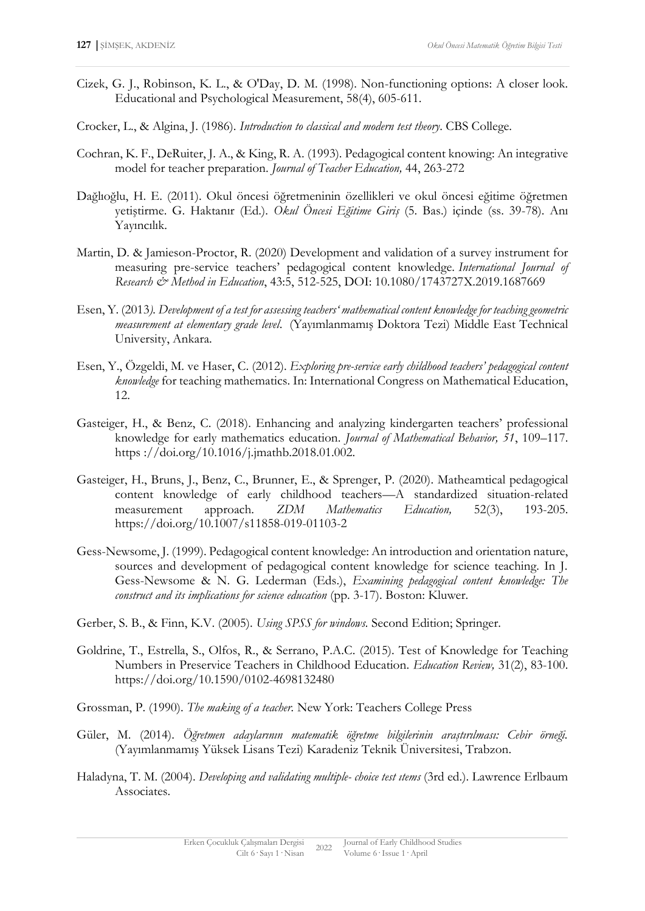- Cizek, G. J., Robinson, K. L., & O'Day, D. M. (1998). Non-functioning options: A closer look. Educational and Psychological Measurement, 58(4), 605-611.
- Crocker, L., & Algina, J. (1986). *Introduction to classical and modern test theory*. CBS College.
- Cochran, K. F., DeRuiter, J. A., & King, R. A. (1993). Pedagogical content knowing: An integrative model for teacher preparation. *Journal of Teacher Education,* 44, 263-272
- Dağlıoğlu, H. E. (2011). Okul öncesi öğretmeninin özellikleri ve okul öncesi eğitime öğretmen yetiştirme. G. Haktanır (Ed.). *Okul Öncesi Eğitime Giriş* (5. Bas.) içinde (ss. 39-78). Anı Yayıncılık.
- Martin, D. & Jamieson-Proctor, R. (2020) Development and validation of a survey instrument for measuring pre-service teachers' pedagogical content knowledge. *International Journal of Research & Method in Education*, 43:5, 512-525, DOI: [10.1080/1743727X.2019.1687669](https://doi.org/10.1080/1743727X.2019.1687669)
- Esen, Y. (2013*). Development of a test for assessing teachers' mathematical content knowledge for teaching geometric measurement at elementary grade level*. (Yayımlanmamış Doktora Tezi) Middle East Technical University, Ankara.
- Esen, Y., Özgeldi, M. ve Haser, C. (2012). *Exploring pre-service early childhood teachers' pedagogical content knowledge* for teaching mathematics. In: International Congress on Mathematical Education, 12.
- Gasteiger, H., & Benz, C. (2018). Enhancing and analyzing kindergarten teachers' professional knowledge for early mathematics education. *Journal of Mathematical Behavior, 51*, 109–117. https ://doi.org/10.1016/j.jmathb.2018.01.002.
- Gasteiger, H., Bruns, J., Benz, C., Brunner, E., & Sprenger, P. (2020). Matheamtical pedagogical content knowledge of early childhood teachers—A standardized situation-related measurement approach. *ZDM Mathematics Education,* 52(3), 193-205. https://doi.org/10.1007/s11858-019-01103-2
- Gess-Newsome, J. (1999). Pedagogical content knowledge: An introduction and orientation nature, sources and development of pedagogical content knowledge for science teaching. In J. Gess-Newsome & N. G. Lederman (Eds.), *Examining pedagogical content knowledge: The construct and its implications for science education* (pp. 3-17). Boston: Kluwer.
- Gerber, S. B., & Finn, K.V. (2005). *Using SPSS for windows.* Second Edition; Springer.
- Goldrine, T., Estrella, S., Olfos, R., & Serrano, P.A.C. (2015). Test of Knowledge for Teaching Numbers in Preservice Teachers in Childhood Education. *Education Review,* 31(2), 83-100. https://doi.org[/10.1590/0102-4698132480](https://doi.org/10.1590/0102-4698132480)
- Grossman, P. (1990). *The making of a teacher.* New York: Teachers College Press
- Güler, M. (2014). *Öğretmen adaylarının matematik öğretme bilgilerinin araştırılması: Cebir örneği.* (Yayımlanmamış Yüksek Lisans Tezi) Karadeniz Teknik Üniversitesi, Trabzon.
- Haladyna, T. M. (2004). *Developing and validating multiple- choice test ıtems* (3rd ed.). Lawrence Erlbaum Associates.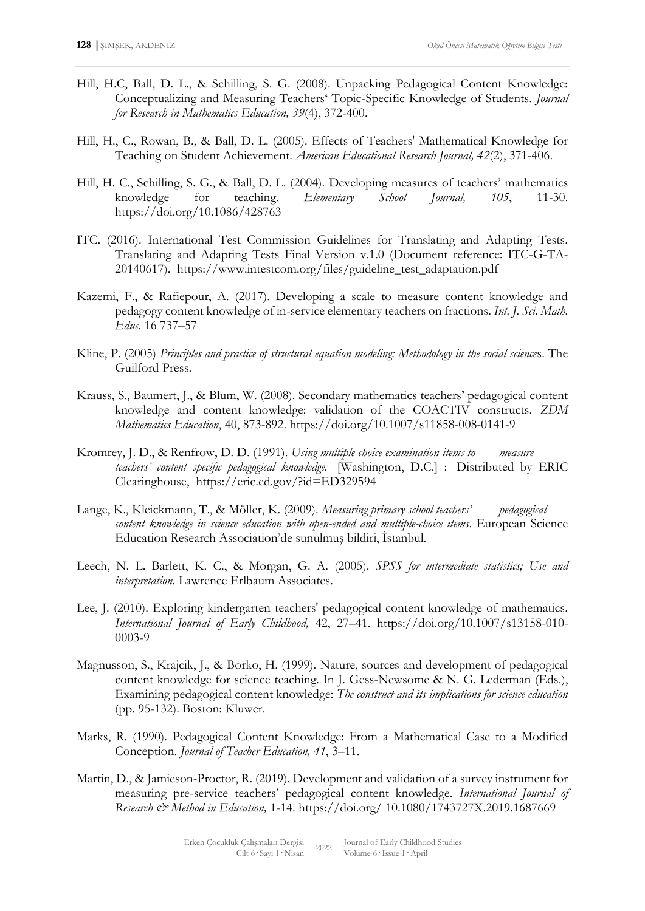- Hill, H.C, Ball, D. L., & Schilling, S. G. (2008). Unpacking Pedagogical Content Knowledge: Conceptualizing and Measuring Teachers' Topic-Specific Knowledge of Students. *Journal for Research in Mathematics Education, 39*(4), 372-400.
- Hill, H., C., Rowan, B., & Ball, D. L. (2005). Effects of Teachers' Mathematical Knowledge for Teaching on Student Achievement. *American Educational Research Journal, 42*(2), 371-406.
- Hill, H. C., Schilling, S. G., & Ball, D. L. (2004). Developing measures of teachers' mathematics knowledge for teaching. *Elementary School Journal, 105*, 11-30. <https://doi.org/10.1086/428763>
- ITC. (2016). International Test Commission Guidelines for Translating and Adapting Tests. Translating and Adapting Tests Final Version v.1.0 (Document reference: ITC-G-TA-20140617). [https://www.intestcom.org/files/guideline\\_test\\_adaptation.pdf](https://www.intestcom.org/files/guideline_test_adaptation.pdf)
- Kazemi, F., & Rafiepour, A. (2017). Developing a scale to measure content knowledge and pedagogy content knowledge of in-service elementary teachers on fractions. *Int. J. Sci. Math. Educ*. 16 737–57
- Kline, P. (2005) *Principles and practice of structural equation modeling: Methodology in the social science*s. The Guilford Press.
- Krauss, S., Baumert, J., & Blum, W. (2008). Secondary mathematics teachers' pedagogical content knowledge and content knowledge: validation of the COACTIV constructs. *ZDM Mathematics Education*, 40, 873-892. https://doi.org/10.1007/s11858-008-0141-9
- Kromrey, J. D., & Renfrow, D. D. (1991). *Using multiple choice examination items to measure teachers' content specific pedagogical knowledge.* [Washington, D.C.] : Distributed by ERIC Clearinghouse, https://eric.ed.gov/?id=ED329594
- Lange, K., Kleickmann, T., & Möller, K. (2009). *Measuring primary school teachers' pedagogical content knowledge in science education with open-ended and multiple-choice ıtems*. European Science Education Research Association'de sunulmuş bildiri, İstanbul.
- Leech, N. L. Barlett, K. C., & Morgan, G. A. (2005). *SPSS for intermediate statistics; Use and interpretation.* Lawrence Erlbaum Associates.
- Lee, J. (2010). Exploring kindergarten teachers' pedagogical content knowledge of mathematics. *International Journal of Early Childhood,* 42, 27–41. https://doi.org/10.1007/s13158-010- 0003-9
- Magnusson, S., Krajcik, J., & Borko, H. (1999). Nature, sources and development of pedagogical content knowledge for science teaching. In J. Gess-Newsome & N. G. Lederman (Eds.), Examining pedagogical content knowledge: *The construct and its implications for science education* (pp. 95-132). Boston: Kluwer.
- Marks, R. (1990). Pedagogical Content Knowledge: From a Mathematical Case to a Modified Conception. *Journal of Teacher Education, 41*, 3–11.
- Martin, D., & Jamieson-Proctor, R. (2019). Development and validation of a survey instrument for measuring pre-service teachers' pedagogical content knowledge. *International Journal of Research & Method in Education,* 1-14. https://doi.org/ 10.1080/1743727X.2019.1687669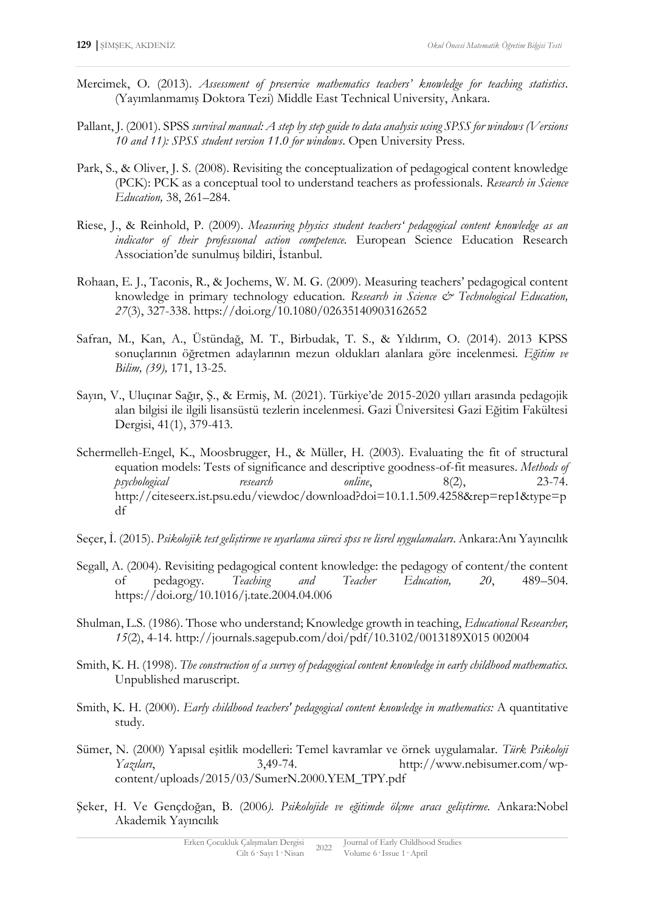- Mercimek, O. (2013). *Assessment of preservice mathematics teachers' knowledge for teaching statistics*. (Yayımlanmamış Doktora Tezi) Middle East Technical University, Ankara.
- Pallant, J. (2001). SPSS *survival manual: A step by step guide to data analysis using SPSS for windows (Versions 10 and 11): SPSS student version 11.0 for windows*. Open University Press.
- Park, S., & Oliver, J. S. (2008). Revisiting the conceptualization of pedagogical content knowledge (PCK): PCK as a conceptual tool to understand teachers as professionals. *Research in Science Education,* 38, 261–284.
- Riese, J., & Reinhold, P. (2009). *Measuring physics student teachers' pedagogical content knowledge as an indicator of their professıonal action competence.* European Science Education Research Association'de sunulmuş bildiri, İstanbul.
- Rohaan, E. J., Taconis, R., & Jochems, W. M. G. (2009). Measuring teachers' pedagogical content knowledge in primary technology education. *Research in Science & Technological Education*, *27*(3), 327-338. <https://doi.org/10.1080/02635140903162652>
- Safran, M., Kan, A., Üstündağ, M. T., Birbudak, T. S., & Yıldırım, O. (2014). 2013 KPSS sonuçlarının öğretmen adaylarının mezun oldukları alanlara göre incelenmesi. *Eğitim ve Bilim, (39),* 171, 13-25.
- Sayın, V., Uluçınar Sağır, Ş., & Ermiş, M. (2021). Türkiye'de 2015-2020 yılları arasında pedagojik alan bilgisi ile ilgili lisansüstü tezlerin incelenmesi. Gazi Üniversitesi Gazi Eğitim Fakültesi Dergisi, 41(1), 379-413.
- Schermelleh-Engel, K., Moosbrugger, H., & Müller, H. (2003). Evaluating the fit of structural equation models: Tests of significance and descriptive goodness-of-fit measures. *Methods of psychological research online*, 8(2), 23-74. http://citeseerx.ist.psu.edu/viewdoc/download?doi=10.1.1.509.4258&rep=rep1&type=p df
- Seçer, İ. (2015). *Psikolojik test geliştirme ve uyarlama süreci spss ve lisrel uygulamaları*. Ankara:Anı Yayıncılık
- Segall, A. (2004). Revisiting pedagogical content knowledge: the pedagogy of content/the content of pedagogy. *Teaching and Teacher Education, 20*, 489–504. <https://doi.org/10.1016/j.tate.2004.04.006>
- Shulman, L.S. (1986). Those who understand; Knowledge growth in teaching, *Educational Researcher, 15*(2), 4-14. http://journals.sagepub.com/doi/pdf/10.3102/0013189X015 002004
- Smith, K. H. (1998). *The construction of a survey of pedagogical content knowledge in early childhood mathematics.* Unpublished maruscript.
- Smith, K. H. (2000). *Early childhood teachers' pedagogical content knowledge in mathematics:* A quantitative study.
- Sümer, N. (2000) Yapısal eşitlik modelleri: Temel kavramlar ve örnek uygulamalar. *Türk Psikoloji Yazıları*, 3,49-74. http://www.nebisumer.com/wpcontent/uploads/2015/03/SumerN.2000.YEM\_TPY.pdf
- Şeker, H. Ve Gençdoğan, B. (2006*). Psikolojide ve eğitimde ölçme aracı geliştirme.* Ankara:Nobel Akademik Yayıncılık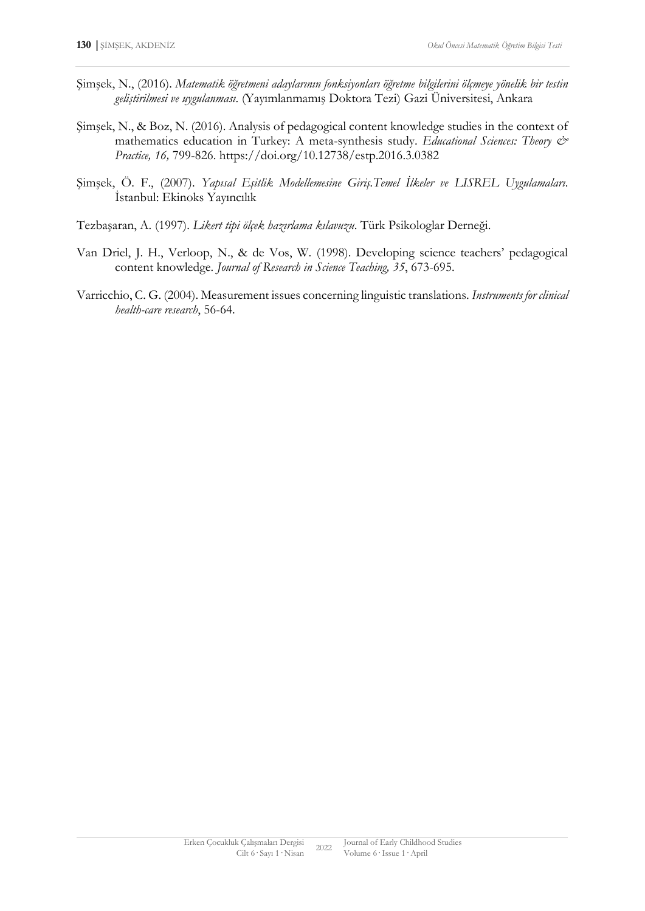- Şimşek, N., (2016). *Matematik öğretmeni adaylarının fonksiyonları öğretme bilgilerini ölçmeye yönelik bir testin geliştirilmesi ve uygulanması*. (Yayımlanmamış Doktora Tezi) Gazi Üniversitesi, Ankara
- Şimşek, N., & Boz, N. (2016). Analysis of pedagogical content knowledge studies in the context of mathematics education in Turkey: A meta-synthesis study. *Educational Sciences: Theory & Practice, 16,* 799-826. <https://doi.org/10.12738/estp.2016.3.0382>
- Şimşek, Ö. F., (2007). *Yapısal Eşitlik Modellemesine Giriş.Temel İlkeler ve LISREL Uygulamaları*. İstanbul: Ekinoks Yayıncılık
- Tezbaşaran, A. (1997). *Likert tipi ölçek hazırlama kılavuzu*. Türk Psikologlar Derneği.
- Van Driel, J. H., Verloop, N., & de Vos, W. (1998). Developing science teachers' pedagogical content knowledge. *Journal of Research in Science Teaching, 35*, 673-695.
- Varricchio, C. G. (2004). Measurement issues concerning linguistic translations. *Instruments for clinical health-care research*, 56-64.